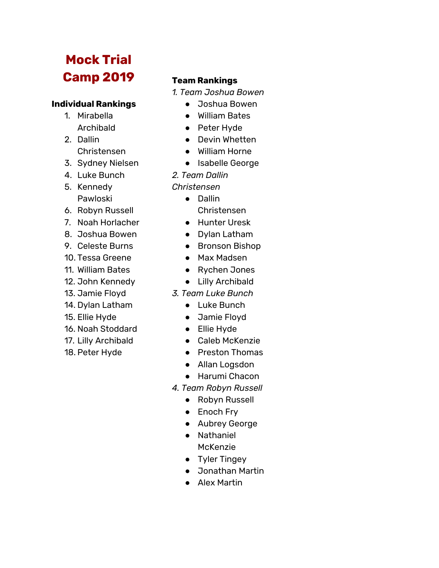# **Mock Trial Camp 2019**

# **Individual Rankings**

- 1. Mirabella Archibald
- 2. Dallin Christensen
- 3. Sydney Nielsen
- 4. Luke Bunch
- 5. Kennedy Pawloski
- 6. Robyn Russell
- 7. Noah Horlacher
- 8. Joshua Bowen
- 9. Celeste Burns
- 10. Tessa Greene
- 11. William Bates
- 12. John Kennedy
- 13. Jamie Floyd
- 14. Dylan Latham
- 15. Ellie Hyde
- 16. Noah Stoddard
- 17. Lilly Archibald
- 18. Peter Hyde

# **Team Rankings**

- *1. Team Joshua Bowen*
	- Joshua Bowen
	- William Bates
	- Peter Hyde
	- Devin Whetten
	- William Horne
	- Isabelle George
- *2. Team Dallin*
- *Christensen*
	- Dallin
		- Christensen
	- Hunter Uresk
	- Dylan Latham
	- Bronson Bishop
	- Max Madsen
	- Rychen Jones
	- Lilly Archibald
- *3. Team Luke Bunch*
	- Luke Bunch
	- Jamie Floyd
	- Ellie Hyde
	- Caleb McKenzie
	- Preston Thomas
	- Allan Logsdon
	- Harumi Chacon
- *4. Team Robyn Russell*
	- Robyn Russell
	- Enoch Fry
	- Aubrey George
	- Nathaniel McKenzie
	- Tyler Tingey
	- Jonathan Martin
	- Alex Martin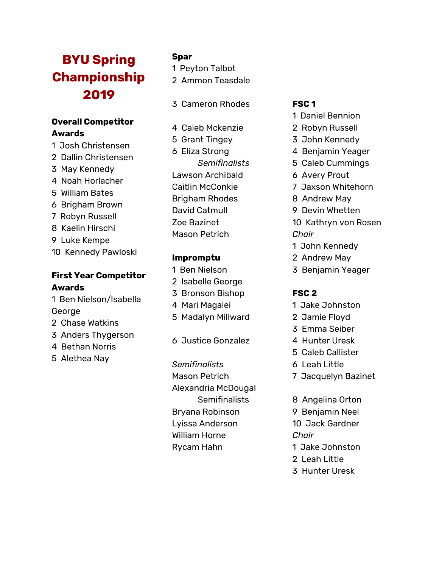# **BYU Spring Championship 2 0 1 9**

# **Overall Competitor A w a r d s**

- 1 Josh Christensen
- 2 Dallin Christensen
- 3 May Kennedy
- 4 Noah Horlacher
- 5 William Bates
- 6 Brigham Brown
- 7 Robyn Russell
- 8 Kaelin Hirschi
- 9 Luke Kempe
- 10 Kennedy Pawloski

# **First Year Competit o r A w a r d s**

- 1 B e n Niels o n /Is a b ella George
- 2 Chase Watkins
- 3 Anders Thygerson
- 4 Bethan Norris
- 5 Alethea Nay

### **Spar**

- 1 Peyton Talbot
- 2 Ammon Teasdale
- 3 Cameron Rhodes
- 4 C aleb M c ken zie
- 5 G r a n t Tin gey
- 6 Eliza Strong *Se m i fin a l is t s* L a w s o n A r c hib ald Caitlin McConkie B rig h a m R h o d e s David Catmull Zoe Bazinet Mason Petrich

### **Impromptu**

- 1 Ben Nielson
- 2 Isabelle George
- 3 Bronson Bishop
- 4 Mari Magalei
- 5 Madalyn Millward
- 6 J u s tice G o n z alez

*Se m i fin a l is t s* M a s o n Pet ric h Alexandria McDougal Semifinalists B r y a n a R o bin s o n Lyissa Anderson William Horne R y c a m H a h n

### **F S C 1**

- 1 D a niel B e n nio n
- 2 Robyn Russell
- 3 John Kennedy
- 4 Benjamin Yeager
- 5 C ale b C u m min g s
- 6 Avery Prout
- 7 J a x s o n W hit e h o r n
- 8 Andrew May
- 9 Devin Whetten
- 10 Kathryn von Rosen *C h a ir*
- 1 John Kennedy
- 2 Andrew May
- 3 Benjamin Yeager

#### **F S C 2**

- 1 J a k e J o h n s t o n
- 2 J a mie Flo y d
- 3 E m m a S eib e r
- 4 Hunter Uresk
- 5 Caleb Callister
- 6 L e a h Lit tle
- 7 Jacquelyn Bazinet
- 8 Angelina Orton
- 9 Benjamin Neel
- 10 Jack Gardner
- *Chair*
- 1 Jake Johnston
- 2 Leah Little
- 3 Hunter Uresk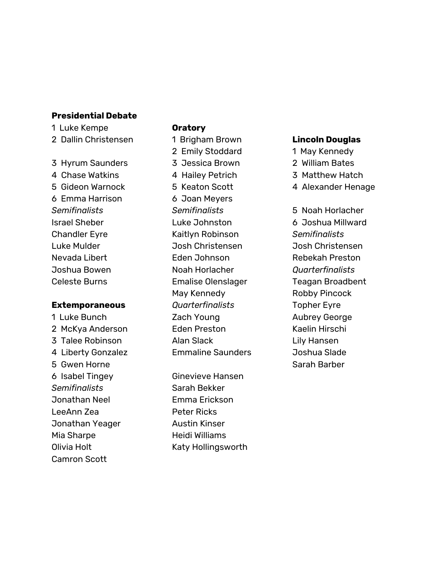#### **Presidential Debate**

1 Luke Kempe

2 Dallin Christensen

#### 3 Hyrum Saunders

4 Chase Watkins 5 Gideon Warnock 6 Emma Harrison *Semifinalists* Israel Sheber Chandler Eyre Luke Mulder Nevada Libert Joshua Bowen Celeste Burns

#### **Extemporaneous**

1 Luke Bunch 2 McKya Anderson 3 Talee Robinson 4 Liberty Gonzalez 5 Gwen Horne 6 Isabel Tingey *Semifinalists* Jonathan Neel LeeAnn Zea Jonathan Yeager Mia Sharpe Olivia Holt Camron Scott

#### **Oratory**

1 Brigham Brown 2 Emily Stoddard 3 Jessica Brown 4 Hailey Petrich 5 Keaton Scott 6 Joan Meyers *Semifinalists* Luke Johnston Kaitlyn Robinson Josh Christensen Eden Johnson Noah Horlacher Emalise Olenslager May Kennedy *Quarterfinalists* Zach Young Eden Preston Alan Slack Emmaline Saunders

Ginevieve Hansen Sarah Bekker Emma Erickson Peter Ricks Austin Kinser Heidi Williams Katy Hollingsworth

#### **Lincoln Douglas**

- 1 May Kennedy
- 2 William Bates
- 3 Matthew Hatch
- 4 Alexander Henage

5 Noah Horlacher 6 Joshua Millward *Semifinalists* Josh Christensen Rebekah Preston *Quarterfinalists* Teagan Broadbent Robby Pincock Topher Eyre Aubrey George Kaelin Hirschi Lily Hansen Joshua Slade Sarah Barber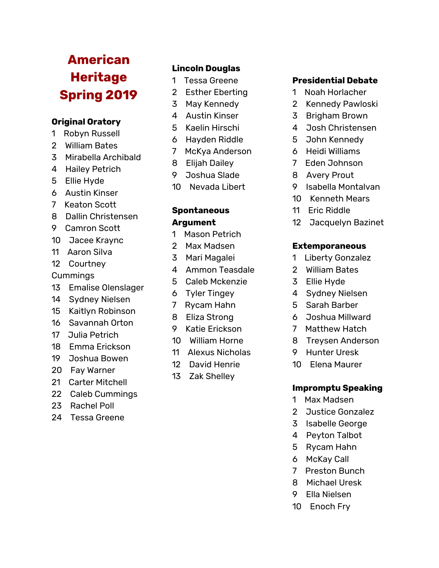# **A m e r i c a n h**eritage **Spring 2019**

# **Original Oratory**

- 1 Robyn Russell
- 2 William Bates
- 3 Mirabella Archib ald
- 4 Hailey Petrich
- 5 Ellie Hyde
- 6 Austin Kinser
- 7 Keaton Scott
- 8 Dallin Christensen
- 9 Camron Scott
- 10 Jacee Kraync
- 11 Aaron Silva
- 12 Courtney

**Cummings** 

- 1 3 E m alis e Ole n sla ger
- 14 Sydney Nielsen
- 1 5 K aitly n R o bin s o n
- 16 Savannah Orton
- 17 Julia Petrich
- 18 Emma Erickson
- 19 Joshua Bowen
- 20 Fay Warner
- 21 Carter Mitchell
- 22 Caleb Cummin g s
- 23 Rachel Poll
- 24 Tessa Gree n e

# **Lincoln Douglas**

- 1 Tessa Greene
- 2 Esther Eberting
- 3 May Kennedy
- 4 A u s tin Kin ser
- 5 Kaelin Hirschi
- 6 Hayden Riddle
- 7 McKya Anderso n
- 8 Elij a h D ailey
- 9 Joshua Slade
- 1 0 N e v a d a Liber t

# **Spontaneous A r g u m e n t**

- 1 Mason Petrich
- 2 Max Madsen
- 3 Mari Magalei
- 4 Ammon Teasdale
- 5 Caleb Mckenzie
- 6 Tyler Tingey
- 7 R y c a m H a h n
- 8 Eliza Strong
- 9 Katie Erickson
- 10 William Horne
- 11 Alexus Nicholas
- 1 2 D a vid Hen rie
- 13 Zak Shelley

### **Presidential Debate**

- 1 Noah Horlacher
- 2 Kennedy Pawloski
- 3 Brigham Brown
- 4 Josh Christensen
- 5 John Kennedy
- 6 H eidi Willia m s
- 7 Eden Johnson
- 8 Avery Prout
- 9 Isabella Montalvan
- 10 Kenneth Mears
- 1 1 E ric Rid dle
- 12 Jacquelyn Bazinet

### **Extemporaneous**

- 1 Liberty Gonzalez
- 2 William Bates
- 3 Ellie H y d e
- 4 Sydney Nielsen
- 5 Sarah Barber
- 6 Joshua Millward
- 7 Matthew Hatch
- 8 Treysen Anderson
- 9 Hunter Uresk
- 10 Elena Maurer

#### **lmpromptu Speaking**

- 1 Max Madsen
- 2 Justice Gonzalez
- 3 Isabelle George
- 4 Peyton Talbot
- 5 Rycam Hahn
- 6 McKay Call
- 7 Preston Bunch
- 8 Michael Uresk
- 9 Ella Niels e n
- 10 Enoch Fry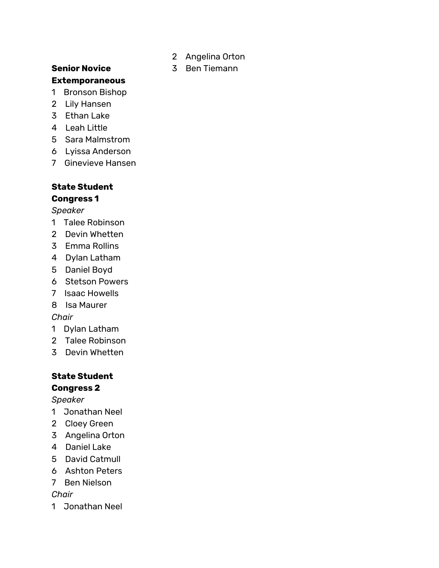#### **Senior Novice Extemporaneous**

- Bronson Bishop
- Lily Hansen
- Ethan Lake
- Leah Little
- Sara Malmstrom
- Lyissa Anderson
- Ginevieve Hansen

# **State Student**

# **Congress 1**

# *Speaker*

- Talee Robinson
- Devin Whetten
- Emma Rollins
- Dylan Latham
- Daniel Boyd
- Stetson Powers
- Isaac Howells
- Isa Maurer

# *Chair*

- Dylan Latham
- Talee Robinson
- Devin Whetten

# **State Student Congress 2**

# *Speaker*

- Jonathan Neel
- Cloey Green
- Angelina Orton
- Daniel Lake
- David Catmull
- Ashton Peters
- Ben Nielson

# *Chair*

Jonathan Neel

Angelina Orton

# Ben Tiemann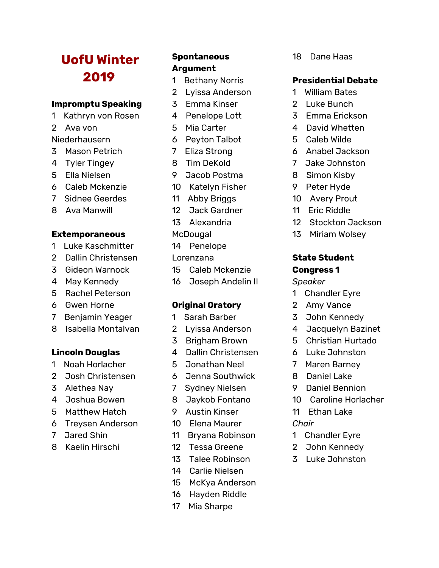# **UofU Winter**

#### **Impromptu Speaking**

- Kathryn von Rosen
- Ava von

### Niederhausern

- Mason Petrich
- Tyler Tingey
- Ella Nielsen
- Caleb Mckenzie
- Sidnee Geerdes
- Ava Manwill

### **Extemporaneous**

- Luke Kaschmitter
- Dallin Christensen
- Gideon Warnock
- May Kennedy
- Rachel Peterson
- Gwen Horne
- Benjamin Yeager
- Isabella Montalvan

### **Lincoln Douglas**

- Noah Horlacher
- Josh Christensen
- Alethea Nay
- Joshua Bowen
- Matthew Hatch
- Treysen Anderson
- Jared Shin
- Kaelin Hirschi

# **Spontaneous Argument**

- Bethany Norris
- Lyissa Anderson
- Emma Kinser
- 4 Penelope Lott
- Mia Carter
- Peyton Talbot
- Eliza Strong
- Tim DeKold
- Jacob Postma
- Katelyn Fisher
- Abby Briggs
- Jack Gardner
- Alexandria
- **McDougal**
- Penelope
- Lorenzana
- Caleb Mckenzie
- Joseph Andelin II

# **Original Oratory**

- Sarah Barber
- Lyissa Anderson
- Brigham Brown
- 4 Dallin Christensen
- Jonathan Neel
- Jenna Southwick
- Sydney Nielsen
- Jaykob Fontano
- Austin Kinser
- Elena Maurer
- Bryana Robinson
- Tessa Greene
- Talee Robinson
- Carlie Nielsen
- McKya Anderson
- Hayden Riddle
- Mia Sharpe

Dane Haas

# **Presidential Debate**

- William Bates
- Luke Bunch
- Emma Erickson
- 4 David Whetten
- Caleb Wilde
- Anabel Jackson
- Jake Johnston
- Simon Kisby
- Peter Hyde
- Avery Prout
- Eric Riddle
- Stockton Jackson
- Miriam Wolsey

#### **State Student Congress 1**

# *Speaker*

- Chandler Eyre
- Amy Vance
- John Kennedy
- 4 Jacquelyn Bazinet
- Christian Hurtado
- Luke Johnston
- Maren Barney
- Daniel Lake
- Daniel Bennion
- Caroline Horlacher
- Ethan Lake

# *Chair*

- Chandler Eyre
- John Kennedy
- Luke Johnston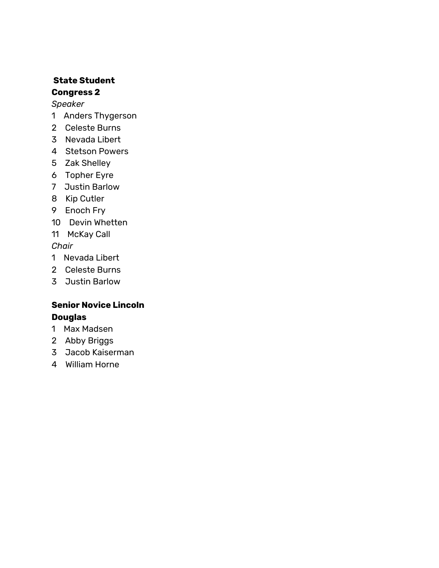# **State Student Congress 2**

# *Speaker*

- Anders Thygerson
- Celeste Burns
- Nevada Libert
- Stetson Powers
- Zak Shelley
- Topher Eyre
- Justin Barlow
- Kip Cutler
- Enoch Fry
- Devin Whetten
- McKay Call

*Chair*

- Nevada Libert
- Celeste Burns
- Justin Barlow

# **Senior Novice Lincoln Douglas**

- Max Madsen
- Abby Briggs
- Jacob Kaiserman
- William Horne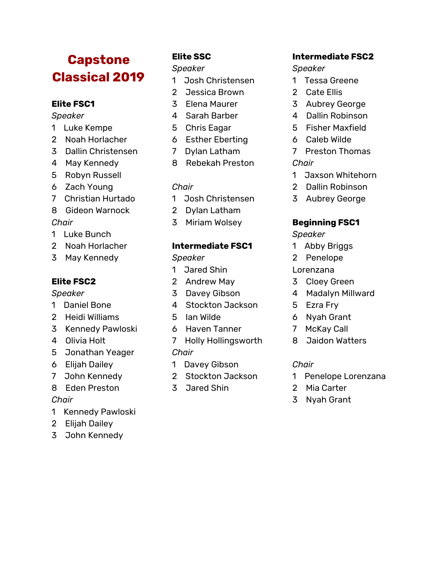# **Capstone Classical 2019**

# **Elite FSC1**

*Speaker*

- Luke Kempe
- Noah Horlacher
- Dallin Christensen
- May Kennedy
- Robyn Russell
- Zach Young
- Christian Hurtado
- Gideon Warnock

# *Chair*

- Luke Bunch
- Noah Horlacher
- May Kennedy

# **Elite FSC2**

### *Speaker*

- Daniel Bone
- Heidi Williams
- Kennedy Pawloski
- Olivia Holt
- Jonathan Yeager
- Elijah Dailey
- John Kennedy
- Eden Preston

# *Chair*

- Kennedy Pawloski
- Elijah Dailey
- John Kennedy

# **Elite SSC**

# *Speaker*

- Josh Christensen
- Jessica Brown
- Elena Maurer
- 4 Sarah Barber
- Chris Eagar
- Esther Eberting
- Dylan Latham
- Rebekah Preston

# *Chair*

- Josh Christensen
- Dylan Latham
- Miriam Wolsey

# **Intermediate FSC1**

# *Speaker*

- Jared Shin
- Andrew May
- Davey Gibson
- 4 Stockton Jackson
- Ian Wilde
- Haven Tanner
- Holly Hollingsworth *Chair*
- Davey Gibson
- Stockton Jackson
- Jared Shin

# **Intermediate FSC2**

# *Speaker*

- Tessa Greene
- Cate Ellis
- Aubrey George
- 4 Dallin Robinson
- Fisher Maxfield
- Caleb Wilde
- Preston Thomas *Chair*
- Jaxson Whitehorn
- Dallin Robinson
- Aubrey George

# **Beginning FSC1**

*Speaker*

- Abby Briggs
- Penelope
- Lorenzana
- Cloey Green
- 4 Madalyn Millward
- Ezra Fry
- Nyah Grant
- McKay Call
- Jaidon Watters

# *Chair*

- Penelope Lorenzana
- Mia Carter
- Nyah Grant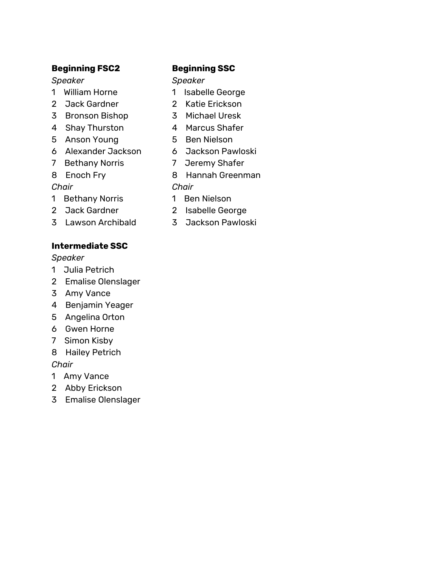### **Beginning FSC2**

### *Speaker*

- William Horne
- Jack Gardner
- Bronson Bishop
- Shay Thurston
- Anson Young
- Alexander Jackson
- Bethany Norris
- Enoch Fry

# *Chair*

- Bethany Norris
- Jack Gardner
- Lawson Archibald

# **Intermediate SSC**

# *Speaker*

- Julia Petrich
- Emalise Olenslager
- Amy Vance
- Benjamin Yeager
- Angelina Orton
- Gwen Horne
- Simon Kisby
- Hailey Petrich

# *Chair*

- Amy Vance
- Abby Erickson
- Emalise Olenslager

# **Beginning SSC**

# *Speaker*

- Isabelle George
- Katie Erickson
- Michael Uresk
- 4 Marcus Shafer
- Ben Nielson
- Jackson Pawloski
- Jeremy Shafer
- Hannah Greenman

# *Chair*

- Ben Nielson
- Isabelle George
- Jackson Pawloski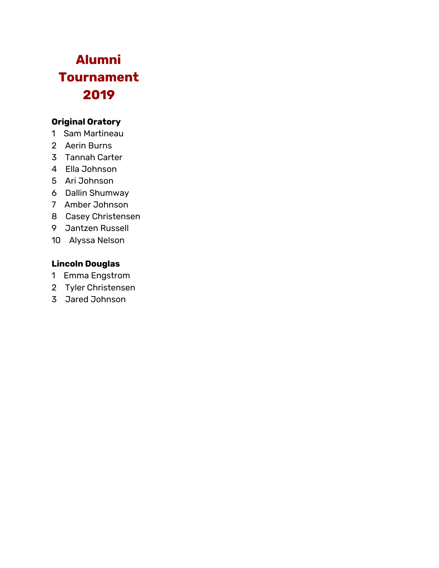# **Alumni Tournament**

# **Original Oratory**

- Sam Martineau
- Aerin Burns
- Tannah Carter
- Ella Johnson
- Ari Johnson
- Dallin Shumway
- Amber Johnson
- Casey Christensen
- Jantzen Russell
- Alyssa Nelson

# **Lincoln Douglas**

- Emma Engstrom
- Tyler Christensen
- Jared Johnson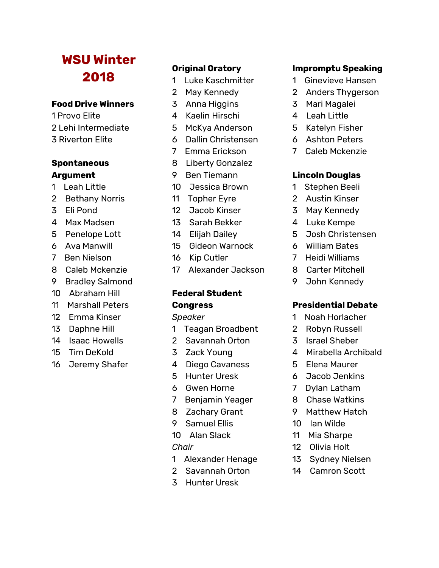# **WSU Winter**

#### **Food Drive Winners**

 Provo Elite Lehi Intermediate Riverton Elite

# **Spontaneous Argument**

- Leah Little
- Bethany Norris
- Eli Pond
- Max Madsen
- Penelope Lott
- Ava Manwill
- Ben Nielson
- Caleb Mckenzie
- Bradley Salmond
- Abraham Hill
- Marshall Peters
- Emma Kinser
- Daphne Hill
- Isaac Howells
- Tim DeKold
- Jeremy Shafer

# **Original Oratory**

- Luke Kaschmitter
- May Kennedy
- Anna Higgins
- 4 Kaelin Hirschi
- McKya Anderson
- Dallin Christensen
- Emma Erickson
- Liberty Gonzalez
- Ben Tiemann
- Jessica Brown
- Topher Eyre
- Jacob Kinser
- Sarah Bekker
- Elijah Dailey
- Gideon Warnock
- Kip Cutler
- Alexander Jackson

# **Federal Student Congress**

### *Speaker*

- Teagan Broadbent
- Savannah Orton
- Zack Young
- 4 Diego Cavaness
- Hunter Uresk
- Gwen Horne
- Benjamin Yeager
- Zachary Grant
- Samuel Ellis
- Alan Slack

# *Chair*

- Alexander Henage
- Savannah Orton
- Hunter Uresk

### **Impromptu Speaking**

- Ginevieve Hansen
- Anders Thygerson
- Mari Magalei
- 4 Leah Little
- Katelyn Fisher
- Ashton Peters
- Caleb Mckenzie

# **Lincoln Douglas**

- Stephen Beeli
- Austin Kinser
- May Kennedy
- 4 Luke Kempe
- Josh Christensen
- William Bates
- Heidi Williams
- Carter Mitchell
- John Kennedy

# **Presidential Debate**

- Noah Horlacher
- Robyn Russell
- Israel Sheber
- 4 Mirabella Archibald
- Elena Maurer
- Jacob Jenkins
- Dylan Latham
- Chase Watkins
- Matthew Hatch
- Ian Wilde
- Mia Sharpe
- Olivia Holt
- Sydney Nielsen
- 14 Camron Scott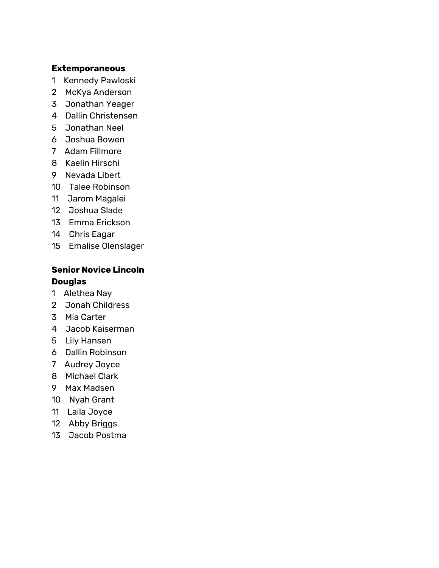#### **Extemporaneous**

- Kennedy Pawloski
- McKya Anderson
- Jonathan Yeager
- Dallin Christensen
- Jonathan Neel
- Joshua Bowen
- Adam Fillmore
- Kaelin Hirschi
- Nevada Libert
- Talee Robinson
- Jarom Magalei
- Joshua Slade
- Emma Erickson
- Chris Eagar
- Emalise Olenslager

# **Senior Novice Lincoln Douglas**

- Alethea Nay
- Jonah Childress
- Mia Carter
- Jacob Kaiserman
- Lily Hansen
- Dallin Robinson
- Audrey Joyce
- Michael Clark
- Max Madsen
- Nyah Grant
- Laila Joyce
- Abby Briggs
- Jacob Postma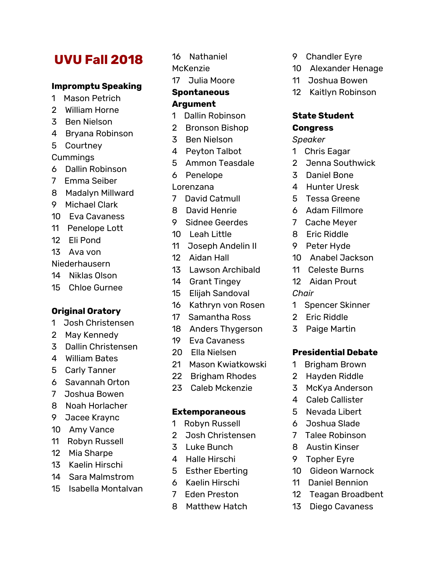# **UVU Fall 2018**

#### **Impromptu Speaking**

- Mason Petrich
- William Horne
- Ben Nielson
- Bryana Robinson
- Courtney

#### Cummings

- Dallin Robinson
- Emma Seiber
- Madalyn Millward
- Michael Clark
- Eva Cavaness
- Penelope Lott
- Eli Pond
- Ava von
- Niederhausern
- Niklas Olson
- Chloe Gurnee

#### **Original Oratory**

- Josh Christensen
- May Kennedy
- Dallin Christensen
- William Bates
- Carly Tanner
- Savannah Orton
- Joshua Bowen
- Noah Horlacher
- Jacee Kraync
- Amy Vance
- Robyn Russell
- Mia Sharpe
- Kaelin Hirschi
- Sara Malmstrom
- Isabella Montalvan

Nathaniel

McKenzie

Julia Moore

#### **Spontaneous Argument**

- Dallin Robinson
- Bronson Bishop
- Ben Nielson
- 4 Peyton Talbot
- Ammon Teasdale
- Penelope
- Lorenzana
- David Catmull
- David Henrie
- Sidnee Geerdes
- Leah Little
- Joseph Andelin II
- Aidan Hall
- Lawson Archibald
- Grant Tingey
- Elijah Sandoval
- Kathryn von Rosen
- Samantha Ross
- Anders Thygerson
- Eva Cavaness
- Ella Nielsen
- Mason Kwiatkowski
- Brigham Rhodes
- Caleb Mckenzie

#### **Extemporaneous**

- Robyn Russell
- Josh Christensen
- Luke Bunch
- 4 Halle Hirschi
- Esther Eberting
- Kaelin Hirschi
- Eden Preston
- Matthew Hatch
- Chandler Eyre
- Alexander Henage
- Joshua Bowen
- Kaitlyn Robinson

#### **State Student Congress**

#### *Speaker*

- Chris Eagar
- Jenna Southwick
- Daniel Bone
- 4 Hunter Uresk
- Tessa Greene
- Adam Fillmore
- Cache Meyer
- Eric Riddle
- Peter Hyde
- Anabel Jackson
- Celeste Burns
- Aidan Prout

#### *Chair*

- Spencer Skinner
- Eric Riddle
- Paige Martin

#### **Presidential Debate**

- Brigham Brown
- Hayden Riddle
- McKya Anderson
- 4 Caleb Callister
- Nevada Libert Joshua Slade

 Talee Robinson Austin Kinser Topher Eyre

 Gideon Warnock Daniel Bennion

 Teagan Broadbent Diego Cavaness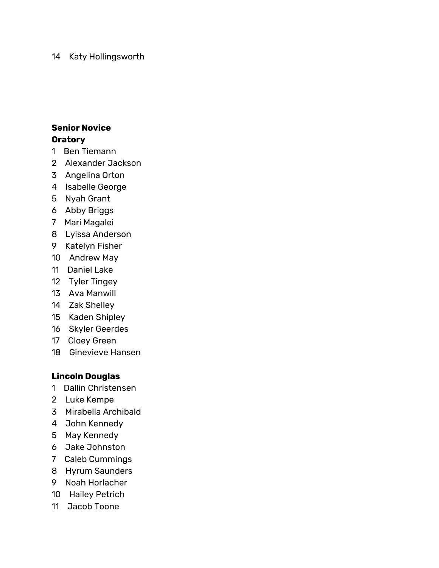#### Katy Hollingsworth

### **Senior Novice Oratory**

- Ben Tiemann
- Alexander Jackson
- Angelina Orton
- Isabelle George
- Nyah Grant
- Abby Briggs
- Mari Magalei
- Lyissa Anderson
- Katelyn Fisher
- Andrew May
- Daniel Lake
- Tyler Tingey
- Ava Manwill
- Zak Shelley
- Kaden Shipley
- Skyler Geerdes
- Cloey Green
- Ginevieve Hansen

# **Lincoln Douglas**

- Dallin Christensen
- Luke Kempe
- Mirabella Archibald
- John Kennedy
- May Kennedy
- Jake Johnston
- Caleb Cummings
- Hyrum Saunders
- Noah Horlacher
- Hailey Petrich
- Jacob Toone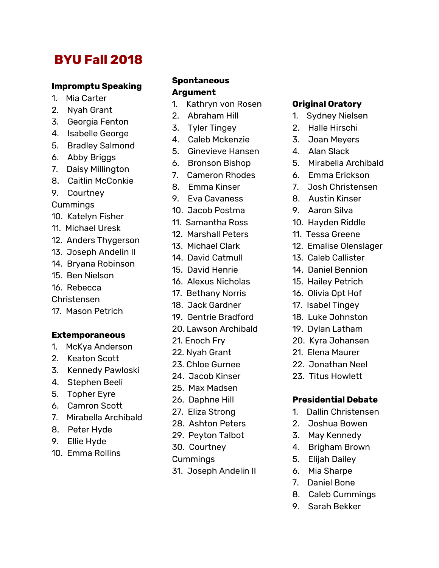# **BYU Fall 2018**

#### **Impromptu Speaking**

- 1. Mia Carter
- 2. Nyah Grant
- 3. Georgia Fenton
- 4. Isabelle George
- 5. Bradley Salmond
- 6. Abby Briggs
- 7. Daisy Millington
- 8. Caitlin McConkie
- 9. Courtney
- Cummings
- 10. Katelyn Fisher
- 11. Michael Uresk
- 12. Anders Thygerson
- 13. Joseph Andelin II
- 14. Bryana Robinson
- 15. Ben Nielson
- 16. Rebecca
- Christensen
- 17. Mason Petrich

#### **Extemporaneous**

- 1. McKya Anderson
- 2. Keaton Scott
- 3. Kennedy Pawloski
- 4. Stephen Beeli
- 5. Topher Eyre
- 6. Camron Scott
- 7. Mirabella Archibald
- 8. Peter Hyde
- 9. Ellie Hyde
- 10. Emma Rollins

#### **Spontaneous Argument**

- 1. Kathryn von Rosen
- 2. Abraham Hill
- 3. Tyler Tingey
- 4. Caleb Mckenzie
- 5. Ginevieve Hansen
- 6. Bronson Bishop
- 7. Cameron Rhodes
- 8. Emma Kinser
- 9. Eva Cavaness
- 10. Jacob Postma
- 11. Samantha Ross
- 12. Marshall Peters
- 13. Michael Clark
- 14. David Catmull 15. David Henrie
- 
- 16. Alexus Nicholas
- 17. Bethany Norris
- 18. Jack Gardner
- 19. Gentrie Bradford
- 20. Lawson Archibald
- 21. Enoch Fry
- 22. Nyah Grant
- 23. Chloe Gurnee
- 24. Jacob Kinser
- 25. Max Madsen
- 26. Daphne Hill
- 27. Eliza Strong
- 28. Ashton Peters
- 29. Peyton Talbot
- 30. Courtney
- Cummings
- 31. Joseph Andelin II

#### **Original Oratory**

- 1. Sydney Nielsen
- 2. Halle Hirschi
- 3. Joan Meyers
- 4. Alan Slack
- 5. Mirabella Archibald
- 6. Emma Erickson
- 7. Josh Christensen
- 8. Austin Kinser
- 9. Aaron Silva
- 10. Hayden Riddle
- 11. Tessa Greene
- 12. Emalise Olenslager
- 13. Caleb Callister
- 14. Daniel Bennion
- 15. Hailey Petrich
- 16. Olivia Opt Hof
- 17. Isabel Tingey
- 18. Luke Johnston
- 19. Dylan Latham
- 20. Kyra Johansen
- 21. Elena Maurer
- 22. Jonathan Neel
- 23. Titus Howlett

#### **Presidential Debate**

- 1. Dallin Christensen
- 2. Joshua Bowen
- 3. May Kennedy
- 4. Brigham Brown
- 5. Elijah Dailey
- 6. Mia Sharpe
- 7. Daniel Bone
- 8. Caleb Cummings
- 9. Sarah Bekker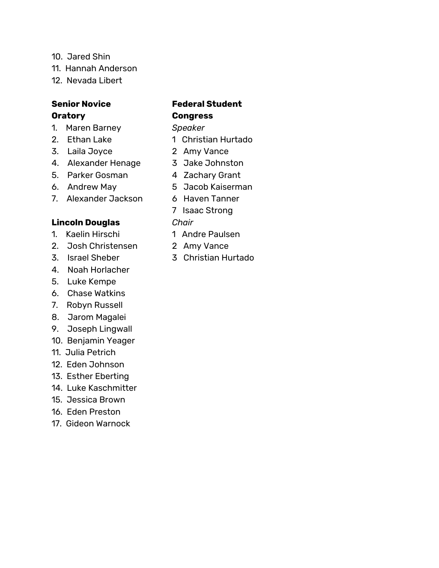- 10. Jared Shin
- 11. Hannah Anderson
- 12. Nevada Libert

#### **Senior Novice Oratory**

- 1. Maren Barney
- 2. Ethan Lake
- 3. Laila Joyce
- 4. Alexander Henage
- 5. Parker Gosman
- 6. Andrew May
- 7. Alexander Jackson

### **Lincoln Douglas**

- 1. Kaelin Hirschi
- 2. Josh Christensen
- 3. Israel Sheber
- 4. Noah Horlacher
- 5. Luke Kempe
- 6. Chase Watkins
- 7. Robyn Russell
- 8. Jarom Magalei
- 9. Joseph Lingwall
- 10. Benjamin Yeager
- 11. Julia Petrich
- 12. Eden Johnson
- 13. Esther Eberting
- 14. Luke Kaschmitter
- 15. Jessica Brown
- 16. Eden Preston
- 17. Gideon Warnock

# **Federal Student Congress**

*Speaker*

- 1 Christian Hurtado
- 2 Amy Vance
- 3 Jake Johnston
- 4 Zachary Grant
- 5 Jacob Kaiserman
- 6 Haven Tanner
- 7 Isaac Strong

*Chair*

- 1 Andre Paulsen
- 2 Amy Vance
- 3 Christian Hurtado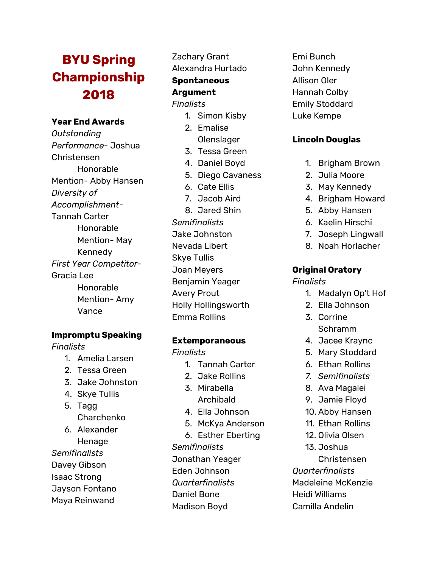# **BYU Spring Championship 2018**

### **Year End Awards**

*Outstanding Performance*- Joshua Christensen Honorable Mention- Abby Hansen *Diversity of Accomplishment-*Tannah Carter Honorable Mention- May Kennedy *First Year Competitor-*Gracia Lee Honorable Mention- Amy Vance

#### **Impromptu Speaking**

*Finalists*

- 1. Amelia Larsen
- 2. Tessa Green
- 3. Jake Johnston
- 4. Skye Tullis
- 5. Tagg Charchenko
- 6. Alexander Henage
- *Semifinalists* Davey Gibson
- Isaac Strong
- Jayson Fontano
- Maya Reinwand

# Zachary Grant

Alexandra Hurtado

# **Spontaneous**

# **Argument**

### *Finalists*

- 1. Simon Kisby
- 2. Emalise
- **Olenslager**
- 3. Tessa Green
- 4. Daniel Boyd
- 5. Diego Cavaness
- 6. Cate Ellis
- 7. Jacob Aird

8. Jared Shin *Semifinalists* Jake Johnston Nevada Libert Skye Tullis Joan Meyers Benjamin Yeager Avery Prout Holly Hollingsworth Emma Rollins

### **Extemporaneous**

#### *Finalists*

- 1. Tannah Carter
- 2. Jake Rollins
- 3. Mirabella
- Archibald
- 4. Ella Johnson
- 5. McKya Anderson
- 6. Esther Eberting *Semifinalists* Jonathan Yeager Eden Johnson *Quarterfinalists* Daniel Bone Madison Boyd

Emi Bunch John Kennedy Allison Oler Hannah Colby Emily Stoddard Luke Kempe

### **Lincoln Douglas**

- 1. Brigham Brown
- 2. Julia Moore
- 3. May Kennedy
- 4. Brigham Howard
- 5. Abby Hansen
- 6. Kaelin Hirschi
- 7. Joseph Lingwall
- 8. Noah Horlacher

### **Original Oratory**

#### *Finalists*

- 1. Madalyn Op't Hof
- 2. Ella Johnson
- 3. Corrine Schramm
- 4. Jacee Kraync
- 5. Mary Stoddard
- 6. Ethan Rollins
- *7. Semifinalists*
- 8. Ava Magalei
- 9. Jamie Floyd
- 10. Abby Hansen
- 11. Ethan Rollins
- 12. Olivia Olsen
- 13. Joshua
	- Christensen

*Quarterfinalists* Madeleine McKenzie Heidi Williams

Camilla Andelin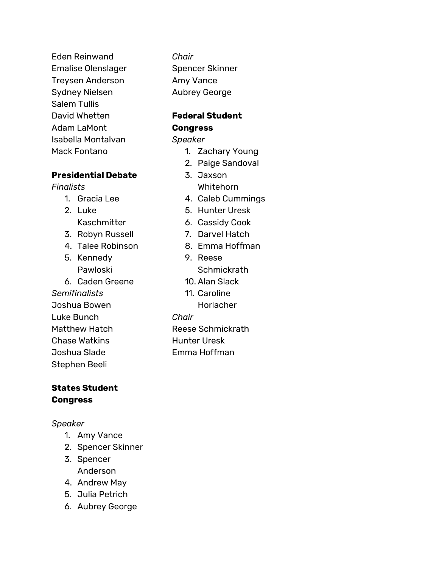Eden Reinwand Emalise Olenslager Treysen Anderson Sydney Nielsen Salem Tullis David Whetten Adam LaMont Isabella Montalvan Mack Fontano

### **Presidential Debate**

# *Finalists*

- 1. Gracia Lee
- 2. Luke Kaschmitter
- 3. Robyn Russell
- 4. Talee Robinson
- 5. Kennedy Pawloski
- 6. Caden Greene
- *Semifinalists*
- Joshua Bowen Luke Bunch
- Matthew Hatch Chase Watkins Joshua Slade
- Stephen Beeli

# **States Student Congress**

# *Speaker*

- 1. Amy Vance
- 2. Spencer Skinner
- 3. Spencer Anderson
- 4. Andrew May
- 5. Julia Petrich
- 6. Aubrey George

*Chair* Spencer Skinner Amy Vance Aubrey George

# **Federal Student Congress**

# *Speaker*

- 1. Zachary Young
- 2. Paige Sandoval
- 3. Jaxson Whitehorn
- 4. Caleb Cummings
- 5. Hunter Uresk
- 6. Cassidy Cook
- 7. Darvel Hatch
- 8. Emma Hoffman
- 9. Reese **Schmickrath**
- 10. Alan Slack
- 11. Caroline
	- **Horlacher**
- *Chair*
- Reese Schmickrath
- Hunter Uresk
- Emma Hoffman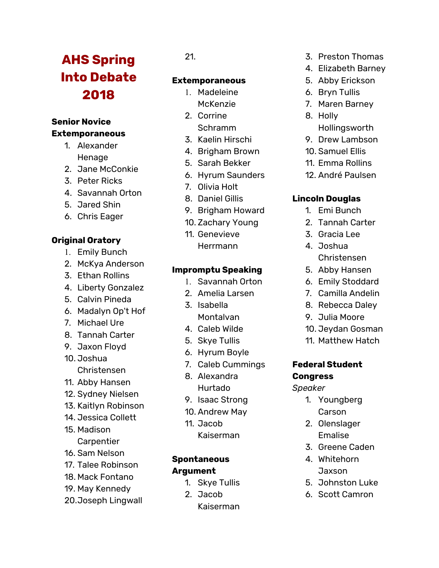# **AHS Spring Into Debate 2018**

### **Senior Novice Extemporaneous**

- 1. Alexander **Henage**
- 2. Jane McConkie
- 3. Peter Ricks
- 4. Savannah Orton
- 5. Jared Shin
- 6. Chris Eager

# **Original Oratory**

- 1. Emily Bunch
- 2. McKya Anderson
- 3. Ethan Rollins
- 4. Liberty Gonzalez
- 5. Calvin Pineda
- 6. Madalyn Op't Hof
- 7. Michael Ure
- 8. Tannah Carter
- 9. Jaxon Floyd
- 10. Joshua Christensen
- 11. Abby Hansen
- 12. Sydney Nielsen
- 13. Kaitlyn Robinson
- 14. Jessica Collett
- 15. Madison **Carpentier**
- 16. Sam Nelson
- 17. Talee Robinson
- 18. Mack Fontano
- 19. May Kennedy
- 20.Joseph Lingwall

# 21.

# **Extemporaneous**

- 1. Madeleine McKenzie
- 2. Corrine Schramm
- 3. Kaelin Hirschi
- 4. Brigham Brown
- 5. Sarah Bekker
- 6. Hyrum Saunders
- 7. Olivia Holt
- 8. Daniel Gillis
- 9. Brigham Howard
- 10. Zachary Young
- 11. Genevieve Herrmann

### **Impromptu Speaking**

- 1. Savannah Orton
- 2. Amelia Larsen
- 3. Isabella Montalvan
- 4. Caleb Wilde
- 5. Skye Tullis
- 6. Hyrum Boyle
- 7. Caleb Cummings
- 8. Alexandra Hurtado
- 9. Isaac Strong
- 10. Andrew May
- 11. Jacob
	- Kaiserman

# **Spontaneous Argument**

- 1. Skye Tullis
- 2. Jacob Kaiserman
- 3. Preston Thomas
- 4. Elizabeth Barney
- 5. Abby Erickson
- 6. Bryn Tullis
- 7. Maren Barney
- 8. Holly
- Hollingsworth 9. Drew Lambson
- 
- 10. Samuel Ellis
- 11. Emma Rollins
- 12. André Paulsen

# **Lincoln Douglas**

- 1. Emi Bunch
- 2. Tannah Carter
- 3. Gracia Lee
- 4. Joshua Christensen
- 5. Abby Hansen
- 6. Emily Stoddard
- 7. Camilla Andelin
- 8. Rebecca Daley
- 9. Julia Moore
- 10. Jeydan Gosman
- 11. Matthew Hatch

# **Federal Student Congress**

#### *Speaker*

- 1. Youngberg Carson
- 2. Olenslager Emalise
- 3. Greene Caden
- 4. Whitehorn Jaxson
- 5. Johnston Luke
- 6. Scott Camron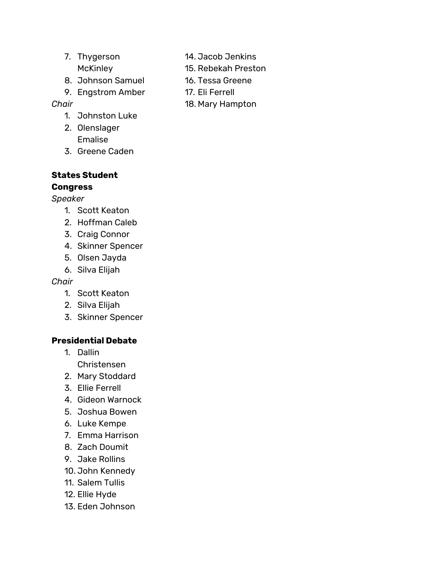- 7. Thygerson **McKinley**
- 8. Johnson Samuel
- 9. Engstrom Amber

# *Chair*

- 1. Johnston Luke
- 2. Olenslager Emalise
- 3. Greene Caden

### **States Student Congress**

# *Speaker*

- 1. Scott Keaton
- 2. Hoffman Caleb
- 3. Craig Connor
- 4. Skinner Spencer
- 5. Olsen Jayda
- 6. Silva Elijah

# *Chair*

- 1. Scott Keaton
- 2. Silva Elijah
- 3. Skinner Spencer

# **Presidential Debate**

- 1. Dallin Christensen
- 2. Mary Stoddard
- 3. Ellie Ferrell
- 4. Gideon Warnock
- 5. Joshua Bowen
- 6. Luke Kempe
- 7. Emma Harrison
- 8. Zach Doumit
- 9. Jake Rollins
- 10. John Kennedy
- 11. Salem Tullis
- 12. Ellie Hyde
- 13. Eden Johnson
- 14. Jacob Jenkins
- 15. Rebekah Preston
- 16. Tessa Greene
- 17. Eli Ferrell
- 18. Mary Hampton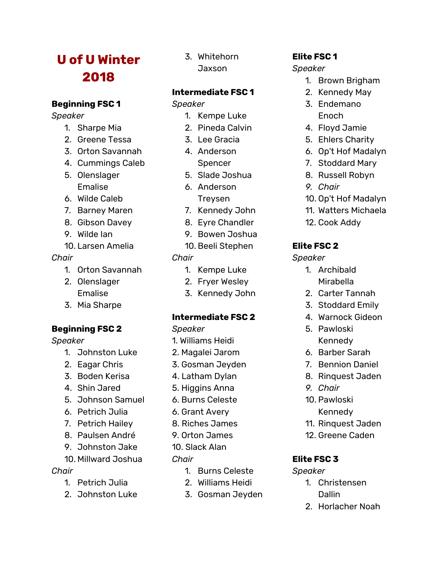# **U of U Winter 2018**

### **Beginning FSC 1**

*Speaker*

- 1. Sharpe Mia
- 2. Greene Tessa
- 3. Orton Savannah
- 4. Cummings Caleb
- 5. Olenslager Emalise
- 6. Wilde Caleb
- 7. Barney Maren
- 8. Gibson Davey
- 9. Wilde Ian
- 10. Larsen Amelia

# *Chair*

- 1. Orton Savannah
- 2. Olenslager Emalise
- 3. Mia Sharpe

# **Beginning FSC 2**

*Speaker*

- 1. Johnston Luke
- 2. Eagar Chris
- 3. Boden Kerisa
- 4. Shin Jared
- 5. Johnson Samuel
- 6. Petrich Julia
- 7. Petrich Hailey
- 8. Paulsen André
- 9. Johnston Jake
- 10. Millward Joshua

# *Chair*

- 1. Petrich Julia
- 2. Johnston Luke

3. Whitehorn **Jaxson** 

# **Intermediate FSC 1**

# *Speaker*

- 1. Kempe Luke
- 2. Pineda Calvin
- 3. Lee Gracia
- 4. Anderson Spencer
- 5. Slade Joshua
- 6. Anderson Treysen
- 7. Kennedy John
- 8. Eyre Chandler
- 9. Bowen Joshua
- 10. Beeli Stephen

# *Chair*

- 1. Kempe Luke
- 2. Fryer Wesley
- 3. Kennedy John

# **Intermediate FSC 2**

*Speaker*

- 1. Williams Heidi
- 2. Magalei Jarom
- 3. Gosman Jeyden
- 4. Latham Dylan
- 5. Higgins Anna
- 6. Burns Celeste
- 6. Grant Avery
- 8. Riches James
- 9. Orton James
- 10. Slack Alan
- *Chair*
	- 1. Burns Celeste
	- 2. Williams Heidi
	- 3. Gosman Jeyden

# **Elite FSC 1**

# *Speaker*

- 1. Brown Brigham
- 2. Kennedy May
- 3. Endemano Enoch
- 4. Floyd Jamie
- 5. Ehlers Charity
- 6. Op't Hof Madalyn
- 7. Stoddard Mary
- 8. Russell Robyn
- *9. Chair*
- 10. Op't Hof Madalyn
- 11. Watters Michaela
- 12. Cook Addy

# **Elite FSC 2**

# *Speaker*

- 1. Archibald Mirabella
- 2. Carter Tannah
- 3. Stoddard Emily
- 4. Warnock Gideon
- 5. Pawloski Kennedy
- 6. Barber Sarah
- 7. Bennion Daniel
- 8. Rinquest Jaden
- *9. Chair*
- 10. Pawloski Kennedy
- 11. Rinquest Jaden
- 12. Greene Caden

# **Elite FSC 3**

# *Speaker*

- 1. Christensen **Dallin**
- 2. Horlacher Noah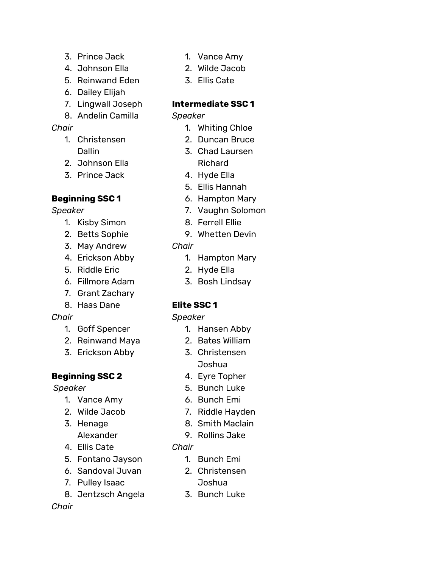- 3. Prince Jack
- 4. Johnson Ella
- 5. Reinwand Eden
- 6. Dailey Elijah
- 7. Lingwall Joseph
- 8. Andelin Camilla

# *Chair*

- 1. Christensen Dallin
- 2. Johnson Ella
- 3. Prince Jack

# **Beginning SSC 1**

*Speaker*

- 1. Kisby Simon
- 2. Betts Sophie
- 3. May Andrew
- 4. Erickson Abby
- 5. Riddle Eric
- 6. Fillmore Adam
- 7. Grant Zachary
- 8. Haas Dane

# *Chair*

- 1. Goff Spencer
- 2. Reinwand Maya
- 3. Erickson Abby

# **Beginning SSC 2**

*Speaker*

- 1. Vance Amy
- 2. Wilde Jacob
- 3. Henage
- Alexander
- 4. Ellis Cate
- 5. Fontano Jayson
- 6. Sandoval Juvan 7. Pulley Isaac
- 8. Jentzsch Angela

# 1. Vance Amy

- 2. Wilde Jacob
- 3. Ellis Cate

# **Intermediate SSC 1**

# *Speaker*

- 1. Whiting Chloe
- 2. Duncan Bruce
- 3. Chad Laursen Richard
- 4. Hyde Ella
- 5. Ellis Hannah
- 6. Hampton Mary
- 7. Vaughn Solomon
- 8. Ferrell Ellie
- 9. Whetten Devin
- *Chair*
	- 1. Hampton Mary
	- 2. Hyde Ella
	- 3. Bosh Lindsay

# **Elite SSC 1**

# *Speaker*

- 1. Hansen Abby
- 2. Bates William
- 3. Christensen Joshua
- 4. Eyre Topher
- 5. Bunch Luke
- 6. Bunch Emi
- 7. Riddle Hayden
- 8. Smith Maclain
- 9. Rollins Jake

# *Chair*

- 1. Bunch Emi
- 2. Christensen Joshua
- 3. Bunch Luke

# *Chair*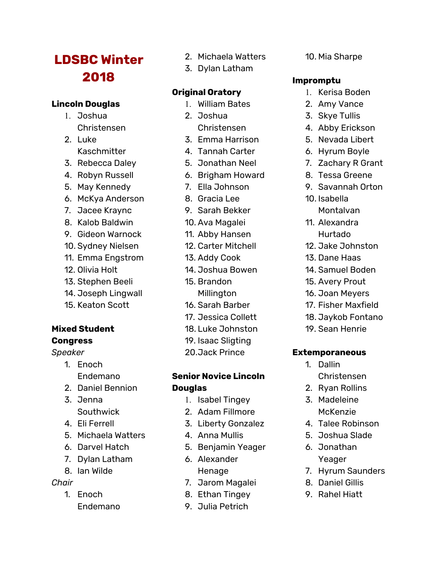# **LDSBC Winter 2018**

# **Lincoln Douglas**

- 1. Joshua Christensen
- 2. Luke Kaschmitter
- 3. Rebecca Daley
- 4. Robyn Russell
- 5. May Kennedy
- 6. McKya Anderson
- 7. Jacee Kraync
- 8. Kalob Baldwin
- 9. Gideon Warnock
- 10. Sydney Nielsen
- 11. Emma Engstrom
- 12. Olivia Holt
- 13. Stephen Beeli
- 14. Joseph Lingwall
- 15. Keaton Scott

# **Mixed Student**

# **Congress**

- *Speaker*
	- 1. Enoch Endemano
	- 2. Daniel Bennion
	- 3. Jenna Southwick
	- 4. Eli Ferrell
	- 5. Michaela Watters
	- 6. Darvel Hatch
	- 7. Dylan Latham
	- 8. Ian Wilde

# *Chair*

1. Enoch Endemano

- 2. Michaela Watters
- 3. Dylan Latham

# **Original Oratory**

- 1. William Bates
- 2. Joshua Christensen
- 3. Emma Harrison
- 4. Tannah Carter
- 5. Jonathan Neel
- 6. Brigham Howard
- 7. Ella Johnson
- 8. Gracia Lee
- 9. Sarah Bekker
- 10. Ava Magalei
- 11. Abby Hansen
- 12. Carter Mitchell
- 13. Addy Cook
- 14. Joshua Bowen
- 15. Brandon **Millington**
- 16. Sarah Barber
- 17. Jessica Collett
- 18. Luke Johnston
- 19. Isaac Sligting
- 20.Jack Prince

# **Senior Novice Lincoln Douglas**

- 1. Isabel Tingey
- 2. Adam Fillmore
- 3. Liberty Gonzalez
- 4. Anna Mullis
- 5. Benjamin Yeager
- 6. Alexander
	- Henage
- 7. Jarom Magalei
- 8. Ethan Tingey
- 9. Julia Petrich

10. Mia Sharpe

# **Impromptu**

- 1. Kerisa Boden
- 2. Amy Vance
- 3. Skye Tullis
- 4. Abby Erickson
- 5. Nevada Libert
- 6. Hyrum Boyle
- 7. Zachary R Grant
- 8. Tessa Greene
- 9. Savannah Orton
- 10. Isabella Montalvan
- 11. Alexandra Hurtado
- 12. Jake Johnston
- 13. Dane Haas
- 14. Samuel Boden
- 15. Avery Prout
- 16. Joan Meyers
- 17. Fisher Maxfield
- 18. Jaykob Fontano
- 19. Sean Henrie

### **Extemporaneous**

- 1. Dallin Christensen
- 2. Ryan Rollins
- 3. Madeleine McKenzie
- 4. Talee Robinson
- 5. Joshua Slade
- 6. Jonathan Yeager
- 7. Hyrum Saunders
- 8. Daniel Gillis
- 9. Rahel Hiatt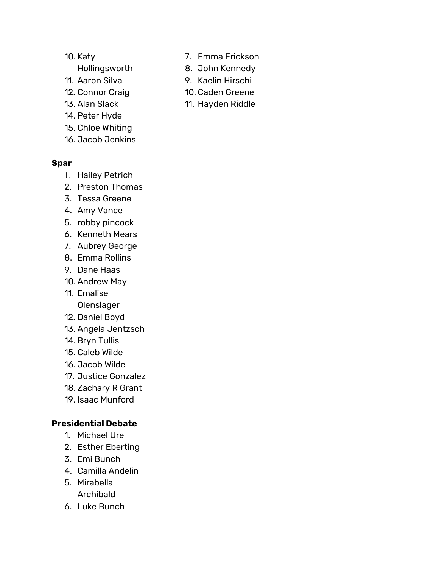- 10. Katy
- Hollingsworth
- 11. Aaron Silva
- 12. Connor Craig
- 13. Alan Slack
- 14. Peter Hyde
- 15. Chloe Whiting
- 16. Jacob Jenkins

### **Spar**

- 1. Hailey Petrich
- 2. Preston Thomas
- 3. Tessa Greene
- 4. Amy Vance
- 5. robby pincock
- 6. Kenneth Mears
- 7. Aubrey George
- 8. Emma Rollins
- 9. Dane Haas
- 10. Andrew May
- 11. Emalise
	- **Olenslager**
- 12. Daniel Boyd
- 13. Angela Jentzsch
- 14. Bryn Tullis
- 15. Caleb Wilde
- 16. Jacob Wilde
- 17. Justice Gonzalez
- 18. Zachary R Grant
- 19. Isaac Munford

# **Presidential Debate**

- 1. Michael Ure
- 2. Esther Eberting
- 3. Emi Bunch
- 4. Camilla Andelin
- 5. Mirabella Archibald
- 6. Luke Bunch
- 7. Emma Erickson
- 8. John Kennedy
- 9. Kaelin Hirschi
- 10. Caden Greene
- 11. Hayden Riddle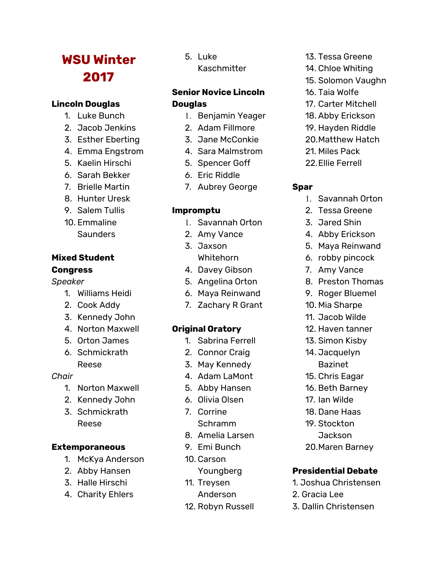# **WSU Winter 2017**

### **Lincoln Douglas**

- 1. Luke Bunch
- 2. Jacob Jenkins
- 3. Esther Eberting
- 4. Emma Engstrom
- 5. Kaelin Hirschi
- 6. Sarah Bekker
- 7. Brielle Martin
- 8. Hunter Uresk
- 9. Salem Tullis
- 10. Emmaline **Saunders**

#### **Mixed Student Congress**

#### *Speaker*

- 1. Williams Heidi
- 2. Cook Addy
- 3. Kennedy John
- 4. Norton Maxwell
- 5. Orton James
- 6. Schmickrath Reese

#### *Chair*

- 1. Norton Maxwell
- 2. Kennedy John
- 3. Schmickrath Reese

### **Extemporaneous**

- 1. McKya Anderson
- 2. Abby Hansen
- 3. Halle Hirschi
- 4. Charity Ehlers

#### 5. Luke

Kaschmitter

# **Senior Novice Lincoln Douglas**

- 1. Benjamin Yeager
- 2. Adam Fillmore
- 3. Jane McConkie
- 4. Sara Malmstrom
- 5. Spencer Goff
- 6. Eric Riddle
- 7. Aubrey George

# **Impromptu**

- 1. Savannah Orton
- 2. Amy Vance
- 3. Jaxson Whitehorn
- 4. Davey Gibson
- 5. Angelina Orton
- 6. Maya Reinwand
- 7. Zachary R Grant

# **Original Oratory**

- 1. Sabrina Ferrell
- 2. Connor Craig
- 3. May Kennedy
- 4. Adam LaMont
- 5. Abby Hansen
- 6. Olivia Olsen
- 7. Corrine
	- Schramm
- 8. Amelia Larsen
- 9. Emi Bunch
- 10. Carson
- Youngberg
- 11. Treysen
	- Anderson
- 12. Robyn Russell
- 13. Tessa Greene
- 14. Chloe Whiting
- 15. Solomon Vaughn
- 16. Taia Wolfe
- 17. Carter Mitchell
- 18. Abby Erickson
- 19. Hayden Riddle
- 20.Matthew Hatch
- 21. Miles Pack
- 22.Ellie Ferrell

#### **Spar**

- 1. Savannah Orton
- 2. Tessa Greene
- 3. Jared Shin
- 4. Abby Erickson
- 5. Maya Reinwand
- 6. robby pincock
- 7. Amy Vance
- 8. Preston Thomas
- 9. Roger Bluemel
- 10. Mia Sharpe
- 11. Jacob Wilde
- 12. Haven tanner
- 13. Simon Kisby
- 14. Jacquelyn
- Bazinet
- 15. Chris Eagar
- 16. Beth Barney
- 17. Ian Wilde
- 18. Dane Haas
- 19. Stockton
	- Jackson
- 20.Maren Barney

# **Presidential Debate**

- 1. Joshua Christensen
- 2. Gracia Lee
- 3. Dallin Christensen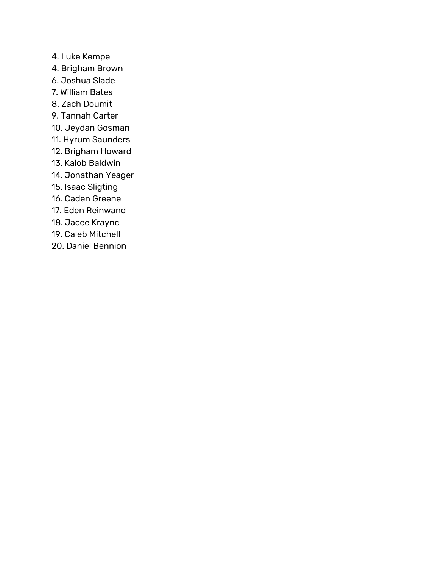- 4. Luke Kempe
- 4. Brigham Brown
- 6. Joshua Slade
- 7. William Bates
- 8. Zach Doumit
- 9. Tannah Carter
- 10. Jeydan Gosman
- 11. Hyrum Saunders
- 12. Brigham Howard
- 13. Kalob Baldwin
- 14. Jonathan Yeager
- 15. Isaac Sligting
- 16. Caden Greene
- 17. Eden Reinwand
- 18. Jacee Kraync
- 19. Caleb Mitchell
- 20. Daniel Bennion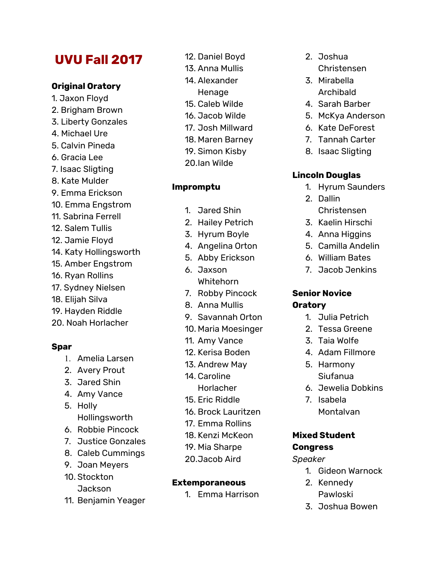# **UVU Fall 2017**

### **Original Oratory**

- 1. Jaxon Floyd 2. Brigham Brown 3. Liberty Gonzales 4. Michael Ure 5. Calvin Pineda 6. Gracia Lee 7. Isaac Sligting 8. Kate Mulder 9. Emma Erickson 10. Emma Engstrom 11. Sabrina Ferrell 12. Salem Tullis 12. Jamie Floyd 14. Katy Hollingsworth 15. Amber Engstrom 16. Ryan Rollins 17. Sydney Nielsen
- 18. Elijah Silva
- 19. Hayden Riddle
- 20. Noah Horlacher

### **Spar**

- 1. Amelia Larsen
- 2. Avery Prout
- 3. Jared Shin
- 4. Amy Vance
- 5. Holly Hollingsworth
- 6. Robbie Pincock
- 7. Justice Gonzales
- 8. Caleb Cummings
- 9. Joan Meyers
- 10. Stockton Jackson
- 11. Benjamin Yeager
- 12. Daniel Boyd
- 13. Anna Mullis
- 14. Alexander
	- Henage
- 15. Caleb Wilde
- 16. Jacob Wilde
- 17. Josh Millward
- 18. Maren Barney
- 19. Simon Kisby
- 20.Ian Wilde

# **Impromptu**

- 1. Jared Shin
- 2. Hailey Petrich
- 3. Hyrum Boyle
- 4. Angelina Orton
- 5. Abby Erickson
- 6. Jaxson Whitehorn
- 7. Robby Pincock
- 8. Anna Mullis
- 9. Savannah Orton
- 10. Maria Moesinger
- 11. Amy Vance
- 12. Kerisa Boden
- 13. Andrew May
- 14. Caroline
	- **Horlacher**
- 15. Eric Riddle
- 16. Brock Lauritzen
- 17. Emma Rollins
- 18. Kenzi McKeon
- 19. Mia Sharpe
- 20.Jacob Aird

### **Extemporaneous**

1. Emma Harrison

- 2. Joshua
	- Christensen
- 3. Mirabella Archibald
- 4. Sarah Barber
- 5. McKya Anderson
- 6. Kate DeForest
- 7. Tannah Carter
- 8. Isaac Sligting

# **Lincoln Douglas**

- 1. Hyrum Saunders
- 2. Dallin Christensen
- 3. Kaelin Hirschi
- 4. Anna Higgins
- 5. Camilla Andelin
- 6. William Bates
- 7. Jacob Jenkins

# **Senior Novice Oratory**

- 1. Julia Petrich
- 2. Tessa Greene
- 3. Taia Wolfe
- 4. Adam Fillmore
- 5. Harmony Siufanua
- 6. Jewelia Dobkins
- 7. Isabela Montalvan

# **Mixed Student Congress**

#### *Speaker*

- 1. Gideon Warnock
- 2. Kennedy Pawloski
- 3. Joshua Bowen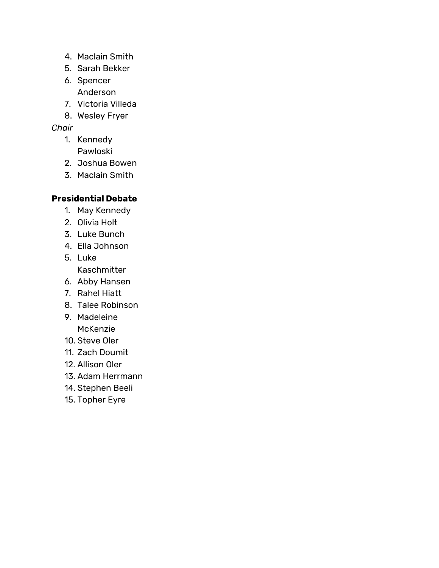- 4. Maclain Smith
- 5. Sarah Bekker
- 6. Spencer Anderson
- 7. Victoria Villeda
- 8. Wesley Fryer

# *Chair*

- 1. Kennedy Pawloski
- 2. Joshua Bowen
- 3. Maclain Smith

# **Presidential Debate**

- 1. May Kennedy
- 2. Olivia Holt
- 3. Luke Bunch
- 4. Ella Johnson
- 5. Luke Kaschmitter
- 6. Abby Hansen
- 7. Rahel Hiatt
- 8. Talee Robinson
- 9. Madeleine McKenzie
- 10. Steve Oler
- 11. Zach Doumit
- 12. Allison Oler
- 13. Adam Herrmann
- 14. Stephen Beeli
- 15. Topher Eyre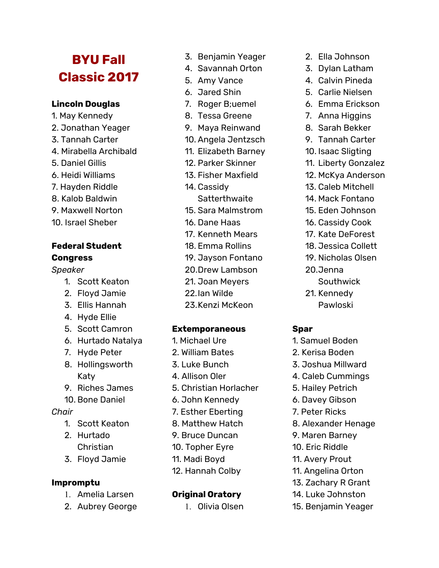# **BYU Fall Classic 2017**

### **Lincoln Douglas**

- 1. May Kennedy
- 2. Jonathan Yeager
- 3. Tannah Carter
- 4. Mirabella Archibald
- 5. Daniel Gillis
- 6. Heidi Williams
- 7. Hayden Riddle
- 8. Kalob Baldwin
- 9. Maxwell Norton
- 10. Israel Sheber

#### **Federal Student Congress**

### *Speaker*

- 1. Scott Keaton
- 2. Floyd Jamie
- 3. Ellis Hannah
- 4. Hyde Ellie
- 5. Scott Camron
- 6. Hurtado Natalya
- 7. Hyde Peter
- 8. Hollingsworth Katy
- 9. Riches James
- 10. Bone Daniel

#### *Chair*

- 1. Scott Keaton
- 2. Hurtado Christian
- 3. Floyd Jamie

### **Impromptu**

- 1. Amelia Larsen
- 2. Aubrey George
- 3. Benjamin Yeager
- 4. Savannah Orton
- 5. Amy Vance
- 6. Jared Shin
- 7. Roger B: uemel
- 8. Tessa Greene
- 9. Maya Reinwand
- 10. Angela Jentzsch
- 11. Elizabeth Barney
- 12. Parker Skinner
- 13. Fisher Maxfield
- 14. Cassidy
	- **Satterthwaite**
- 15. Sara Malmstrom
- 16. Dane Haas
- 17. Kenneth Mears
- 18. Emma Rollins
- 19. Jayson Fontano
- 20.Drew Lambson
- 21. Joan Meyers
- 22.Ian Wilde
- 23.Kenzi McKeon

#### **Extemporaneous**

- 1. Michael Ure
- 2. William Bates
- 3. Luke Bunch
- 4. Allison Oler
- 5. Christian Horlacher
- 6. John Kennedy
- 7. Esther Eberting
- 8. Matthew Hatch
- 9. Bruce Duncan
- 10. Topher Eyre
- 11. Madi Boyd
- 12. Hannah Colby

### **Original Oratory**

1. Olivia Olsen

- 2. Ella Johnson
- 3. Dylan Latham
- 4. Calvin Pineda
- 5. Carlie Nielsen
- 6. Emma Erickson
- 7. Anna Higgins
- 8. Sarah Bekker
- 9. Tannah Carter
- 10. Isaac Sligting
- 11. Liberty Gonzalez
- 12. McKya Anderson
- 13. Caleb Mitchell
- 14. Mack Fontano
- 15. Eden Johnson
- 16. Cassidy Cook
- 17. Kate DeForest
- 18. Jessica Collett
- 19. Nicholas Olsen
- 20.Jenna
	- Southwick
- 21. Kennedy Pawloski

#### **Spar**

- 1. Samuel Boden
- 2. Kerisa Boden
- 3. Joshua Millward
- 4. Caleb Cummings
- 5. Hailey Petrich
- 6. Davey Gibson
- 7. Peter Ricks
- 8. Alexander Henage
- 9. Maren Barney

11. Angelina Orton 13. Zachary R Grant 14. Luke Johnston 15. Benjamin Yeager

10. Eric Riddle 11. Avery Prout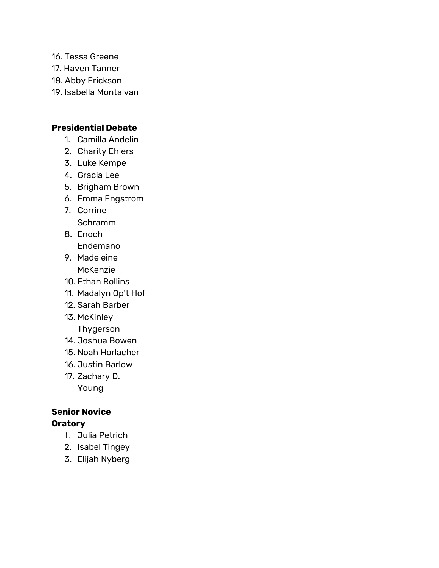- 16. Tessa Greene
- 17. Haven Tanner
- 18. Abby Erickson
- 19. Isabella Montalvan

# **Presidential Debate**

- 1. Camilla Andelin
- 2. Charity Ehlers
- 3. Luke Kempe
- 4. Gracia Lee
- 5. Brigham Brown
- 6. Emma Engstrom
- 7. Corrine Schramm
- 8. Enoch Endemano
- 9. Madeleine
- McKenzie 10. Ethan Rollins
- 11. Madalyn Op't Hof
- 12. Sarah Barber
- 13. McKinley
	- Thygerson
- 14. Joshua Bowen
- 15. Noah Horlacher
- 16. Justin Barlow
- 17. Zachary D. Young

# **Senior Novice Oratory**

- 1. Julia Petrich
- 2. Isabel Tingey
- 3. Elijah Nyberg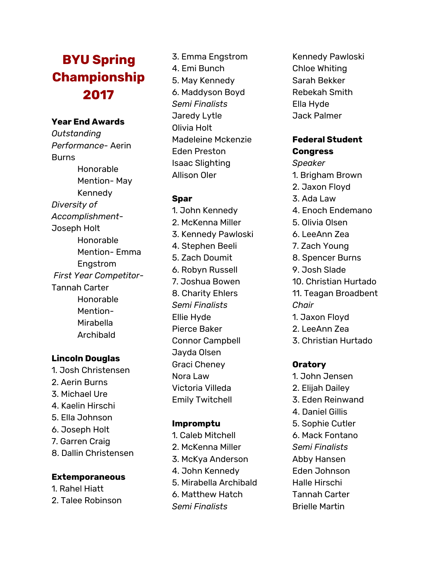# **BYU Spring Championship 2 0 1 7**

#### Year End Awards

*Outstanding P e r fo rm a n c e -* A e rin **Burns** Honorable Mention- May **Kennedy** *D i v e rs i t y o f A c c o m p l is h m e n t -* Joseph Holt Honorable Mention- Emma Engstrom *First Year Competitor-*Tannah Carter Honorable Mention-Mir a b ella A r c hib ald

#### **Lincoln Douglas**

1. J o s h C h ris t e n s e n 2. Aerin Burns 3. Mic h a el U r e 4. Kaelin Hirschi 5. Ella Johnson 6. Joseph Holt 7. Garren Craig 8. Dallin Christensen

#### **Extemporaneous**

1. Rahel Hiatt 2. T ale e R o bin s o n 3. Emma Engstrom 4. E mi B u n c h 5. M a y Ken ned y 6. M a d d y s o n B o y d *Se m i Fin a l is t s* Jaredy Lytle Olivia H olt Madeleine Mckenzie E d e n P res t o n Isaac Slightin g Allis o n Ole r

### **Spar**

1. J o h n K e n ned y 2. M c Ken n a Miller 3. Kennedy Pawloski 4. S tep hen Beeli 5. Zach Doumit 6. Robyn Russell 7. Joshua Bowen 8. Charity Ehlers *Se m i Fin a l is t s* Ellie H y d e Pierce Baker Connor Campbell Jayda Olsen Graci Cheney Nora Law Victoria Villeda Emily Twitchell

### **Impromptu**

1. Caleb Mitchell 2. McKenna Miller 3. McKya Anderso n 4. John Kennedy 5. Mir a b ella A r c hib ald 6. Matthew Hatch *Se m i Fin a l is t s*

Kennedy Pawloski Chloe Whiting Sarah Bekker Rebekah Smith Ella Hyde Jack Palmer

### **Federal Student Congress**

#### *Speaker*

- 1. B rig h a m B r o w n
- 2. J a x o n Flo y d
- 3. A d a L a w
- 4. Enoch Endemano
- 5. Olivia Ols e n
- 6. LeeAnn Zea
- 7. Zach Young
- 8. Spencer Burns
- 9. J o s h Sla d e
- 1 0. C h ris tia n H u r t a d o
- 11. Teagan Broadbent *C h a ir*
- 1. J a x o n Flo y d
- 2. LeeAnn Zea
- 3. C h ris tia n H u r t a d o

### **O r a t o r y**

- 1. J o h n J e n s e n
- 2. Elij a h D aile y
- 3. E d e n R ein w a n d
- 4. D a niel Gillis
- 5. Sophie Cutler
- 6. Mack Fontano
- *Se m i Fin a l is t s*
- Abby Hansen
- E d e n J o h n s o n
- H alle Hir s c hi
- Tannah Cart e r Brielle Martin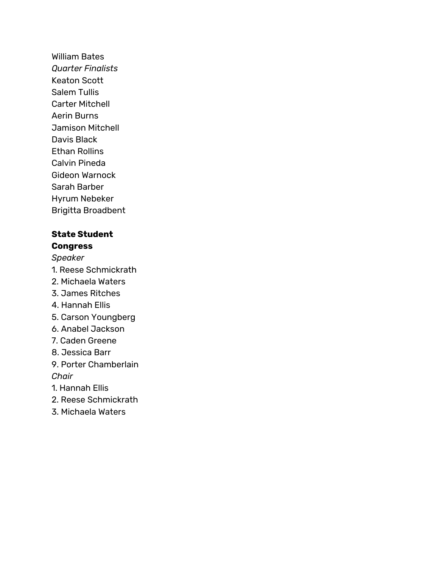William Bates *Quarter Finalists* Keaton Scott Salem Tullis Carter Mitchell Aerin Burns Jamison Mitchell Davis Black Ethan Rollins Calvin Pineda Gideon Warnock Sarah Barber Hyrum Nebeker Brigitta Broadbent

### **State Student Congress**

# *Speaker*

- 1. Reese Schmickrath
- 2. Michaela Waters
- 3. James Ritches
- 4. Hannah Ellis
- 5. Carson Youngberg
- 6. Anabel Jackson
- 7. Caden Greene
- 8. Jessica Barr
- 9. Porter Chamberlain *Chair*
- 1. Hannah Ellis
- 2. Reese Schmickrath
- 3. Michaela Waters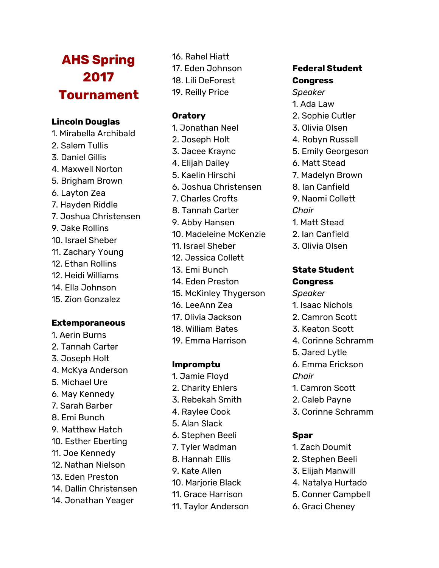# **AHS Spring 2017 Tournament**

### **Lincoln Douglas**

- 1. Mirabella Archibald
- 2. Salem Tullis
- 3. Daniel Gillis
- 4. Maxwell Norton
- 5. Brigham Brown
- 6. Layton Zea
- 7. Hayden Riddle
- 7. Joshua Christensen
- 9. Jake Rollins
- 10. Israel Sheber
- 11. Zachary Young
- 12. Ethan Rollins
- 12. Heidi Williams
- 14. Ella Johnson
- 15. Zion Gonzalez

### **Extemporaneous**

- 1. Aerin Burns
- 2. Tannah Carter
- 3. Joseph Holt
- 4. McKya Anderson
- 5. Michael Ure
- 6. May Kennedy
- 7. Sarah Barber
- 8. Emi Bunch
- 9. Matthew Hatch
- 10. Esther Eberting
- 11. Joe Kennedy
- 12. Nathan Nielson
- 13. Eden Preston
- 14. Dallin Christensen
- 14. Jonathan Yeager
- 16. Rahel Hiatt 17. Eden Johnson 18. Lili DeForest
- 19. Reilly Price

# **Oratory**

- 1. Jonathan Neel
- 2. Joseph Holt
- 3. Jacee Kraync
- 4. Elijah Dailey
- 5. Kaelin Hirschi
- 6. Joshua Christensen
- 7. Charles Crofts
- 8. Tannah Carter
- 9. Abby Hansen
- 10. Madeleine McKenzie
- 11. Israel Sheber
- 12. Jessica Collett
- 13. Emi Bunch
- 14. Eden Preston
- 15. McKinley Thygerson
- 16. LeeAnn Zea
- 17. Olivia Jackson
- 18. William Bates
- 19. Emma Harrison

### **Impromptu**

- 1. Jamie Floyd
- 2. Charity Ehlers
- 3. Rebekah Smith
- 4. Raylee Cook
- 5. Alan Slack
- 6. Stephen Beeli
- 7. Tyler Wadman
- 8. Hannah Ellis
- 9. Kate Allen
- 10. Marjorie Black
- 11. Grace Harrison
- 11. Taylor Anderson

# **Federal Student Congress**

- *Speaker*
- 1. Ada Law
- 2. Sophie Cutler
- 3. Olivia Olsen
- 4. Robyn Russell
- 5. Emily Georgeson
- 6. Matt Stead
- 7. Madelyn Brown
- 8. Ian Canfield
- 9. Naomi Collett *Chair*
- 1. Matt Stead
- 2. Ian Canfield
- 3. Olivia Olsen

### **State Student Congress**

#### *Speaker*

- 1. Isaac Nichols
- 2. Camron Scott
- 3. Keaton Scott
- 4. Corinne Schramm
- 5. Jared Lytle
- 6. Emma Erickson
- *Chair*
- 1. Camron Scott
- 2. Caleb Payne
- 3. Corinne Schramm

#### **Spar**

- 1. Zach Doumit
- 2. Stephen Beeli
- 3. Elijah Manwill

6. Graci Cheney

- 4. Natalya Hurtado
- 5. Conner Campbell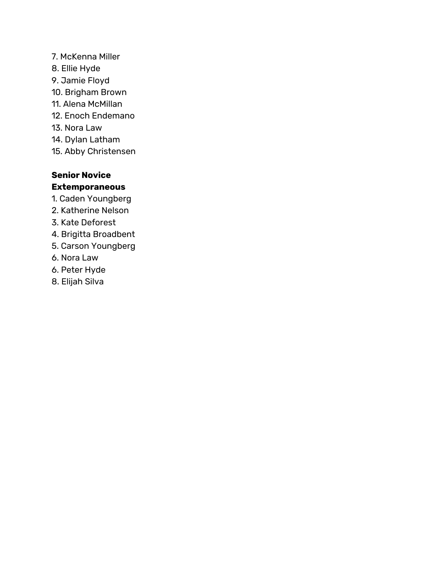- 7. McKenna Miller
- 8. Ellie Hyde
- 9. Jamie Floyd
- 10. Brigham Brown
- 11. Alena McMillan
- 12. Enoch Endemano
- 13. Nora Law
- 14. Dylan Latham
- 15. Abby Christensen

# **Senior Novice Extemporaneous**

- 1. Caden Youngberg
- 2. Katherine Nelson
- 3. Kate Deforest
- 4. Brigitta Broadbent
- 5. Carson Youngberg
- 6. Nora Law
- 6. Peter Hyde
- 8. Elijah Silva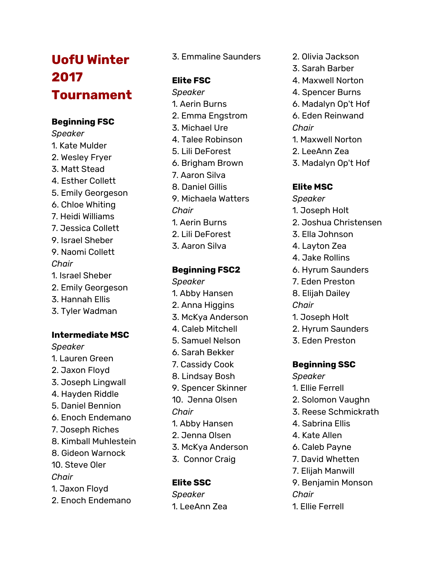# **U**ofU Winter **2 0 1 7 Tournament**

# **Beginning FSC**

*Speaker* 1. Kate Mulder 2. Wesley Fryer 3. Matt Stead 4. Esther Collett 5. Emily Georgeson 6. C hlo e W hitin g 7. H eidi Willia m s 7. Jessica Collett 9. Israel Sheber 9. Naomi Collett *C h a ir* 1. Israel Sheber 2. Emily Georgeson 3. H a n n a h Ellis 3. Tyler Wadman

# Intermediate MSC

*Speaker* 1. Lauren Green 2. J a x o n Flo y d 3. J o s e p h Lin g w all 4. Hayden Riddle 5. Daniel Bennion 6. Enoch Endeman o 7. Joseph Riches 8. Kimball Muhlestein 8. Gideon Warnock 1 0. S t e v e Ole r *C h a ir* 1. J a x o n Flo y d 2. Enoch Endemano

3. E m m aline S a u n der s

# **E l i t e F S C**

*Speaker* 1. Aerin B u r n s 2. Emma Engstrom 3. Mic h a el U r e 4. T alee R o bin s o n 5. Lili DeF o res t 6. B rig h a m B r o w n 7. Aaron Silva 8. D a niel Gillis 9. Michaela Watters *C h a ir* 1. Aerin B u r n s 2. Lili DeF o res t 3. A a r o n Silv a

# **Beginning FSC2**

*Speaker* 1. Abby Hansen 2. Anna Higgins 3. McKya Anderson 4. C ale b Mit c hell 5. Samuel Nelson 6. Sarah Bekker 7. Cassidy Cook 8. Lindsay Bosh 9. Spencer Skinner 10. Jenna Olsen *Chair* 1. Abby Hansen 2. Jenna Olsen 3. McKya Anderson 3. Connor Craig

# **Elite SSC**

*Speaker* 1. L e e A n n Zea

- 2. Olivia Jackson
- 3. Sarah Barber
- 4. Maxwell Norton
- 4. Spencer Burns
- 6. M a d aly n O p't H o f 6. E d e n R ein w a n d
- *C h a ir*
- 1. Maxwell Norton
- 2. LeeAnn Zea
- 3. M a d aly n O p't H o f

# **E l i t e M S C**

- *Speaker*
- 1. Joseph Holt
- 2. Joshua Christensen
- 3. Ella J o h n s o n
- 4. Layton Zea
- 4. J a k e R ollin s
- 6. Hyrum Saunders
- 7. Eden Preston
- 8. Elij a h D aile y
- *C h a ir*
- 1. Joseph Holt
- 2. Hyrum Saunders
- 3. Eden Preston

# **Beginning SSC**

- *Speaker*
- 1. Ellie Ferrell
- 2. Solomon Vaughn
- 3. Reese Schmickrath
- 4. S a b rin a Ellis
- 4. Kate Allen
- 6. C ale b P a y n e
- 7. David Whetten
- 7. Elij a h M a n will
- 9. Benjamin Mon s o n
- *C h a ir*
- 1. Ellie Ferrell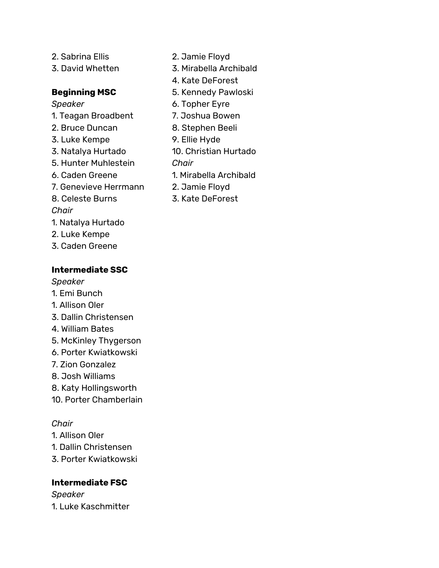- 2. Sabrina Ellis 3. David Whetten **Beginning MSC** *Speaker*
- 1. Teagan Broadbent
- 2. Bruce Duncan
- 3. Luke Kempe
- 3. Natalya Hurtado
- 5. Hunter Muhlestein
- 6. Caden Greene
- 7. Genevieve Herrmann 8. Celeste Burns
- *Chair*
- 
- 1. Natalya Hurtado
- 2. Luke Kempe
- 3. Caden Greene

# **Intermediate SSC**

*Speaker*

- 1. Emi Bunch
- 1. Allison Oler
- 3. Dallin Christensen
- 4. William Bates
- 5. McKinley Thygerson
- 6. Porter Kwiatkowski
- 7. Zion Gonzalez
- 8. Josh Williams
- 8. Katy Hollingsworth
- 10. Porter Chamberlain

# *Chair*

- 1. Allison Oler
- 1. Dallin Christensen
- 3. Porter Kwiatkowski

# **Intermediate FSC**

*Speaker* 1. Luke Kaschmitter

- 2. Jamie Floyd
- 3. Mirabella Archibald
- 4. Kate DeForest
- 5. Kennedy Pawloski
- 6. Topher Eyre
- 7. Joshua Bowen
- 8. Stephen Beeli
- 9. Ellie Hyde
- 10. Christian Hurtado
- *Chair*
- 1. Mirabella Archibald
- 2. Jamie Floyd
- 3. Kate DeForest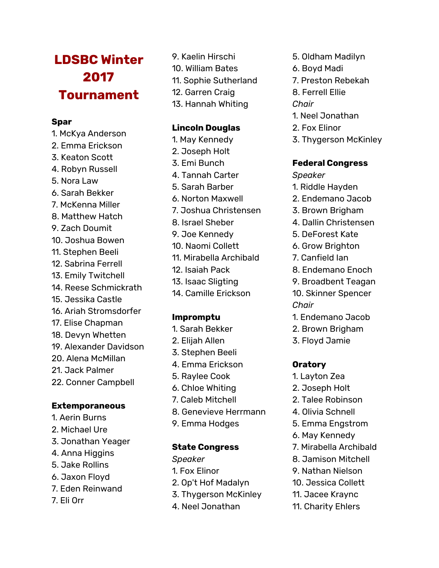# **LDSBC Winter 2017 Tournament**

#### **Spar**

- 1. McKya Anderson 2. Emma Erickson
- 3. Keaton Scott
- 4. Robyn Russell
- 5. Nora Law
- 6. Sarah Bekker
- 7. McKenna Miller
- 8. Matthew Hatch
- 9. Zach Doumit
- 10. Joshua Bowen
- 11. Stephen Beeli
- 12. Sabrina Ferrell
- 13. Emily Twitchell
- 14. Reese Schmickrath 15. Jessika Castle
- 16. Ariah Stromsdorfer
- 17. Elise Chapman
- 18. Devyn Whetten
- 19. Alexander Davidson
- 20. Alena McMillan
- 21. Jack Palmer
- 22. Conner Campbell

### **Extemporaneous**

- 1. Aerin Burns
- 2. Michael Ure
- 3. Jonathan Yeager
- 4. Anna Higgins
- 5. Jake Rollins
- 6. Jaxon Floyd
- 7. Eden Reinwand
- 7. Eli Orr
- 9. Kaelin Hirschi 10. William Bates
- 11. Sophie Sutherland
- 
- 12. Garren Craig
- 13. Hannah Whiting

#### **Lincoln Douglas**

- 1. May Kennedy
- 2. Joseph Holt
- 3. Emi Bunch
- 4. Tannah Carter
- 5. Sarah Barber
- 6. Norton Maxwell
- 7. Joshua Christensen
- 8. Israel Sheber
- 9. Joe Kennedy
- 10. Naomi Collett
- 11. Mirabella Archibald
- 12. Isaiah Pack
- 13. Isaac Sligting
- 14. Camille Erickson

### **Impromptu**

- 1. Sarah Bekker
- 2. Elijah Allen
- 3. Stephen Beeli
- 4. Emma Erickson
- 5. Raylee Cook
- 6. Chloe Whiting
- 7. Caleb Mitchell
- 8. Genevieve Herrmann
- 9. Emma Hodges

#### **State Congress**

- *Speaker*
- 1. Fox Elinor
- 2. Op't Hof Madalyn
- 3. Thygerson McKinley
- 4. Neel Jonathan
- 5. Oldham Madilyn
- 6. Boyd Madi
- 7. Preston Rebekah
- 8. Ferrell Ellie

#### *Chair*

- 1. Neel Jonathan
- 2. Fox Elinor
- 3. Thygerson McKinley

#### **Federal Congress**

*Speaker*

- 1. Riddle Hayden
- 2. Endemano Jacob
- 3. Brown Brigham
- 4. Dallin Christensen
- 5. DeForest Kate
- 6. Grow Brighton
- 7. Canfield Ian
- 8. Endemano Enoch
- 9. Broadbent Teagan

10. Skinner Spencer *Chair*

- 1. Endemano Jacob
- 2. Brown Brigham
- 3. Floyd Jamie

### **Oratory**

- 1. Layton Zea
- 2. Joseph Holt
- 2. Talee Robinson
- 4. Olivia Schnell
- 5. Emma Engstrom
- 6. May Kennedy
- 7. Mirabella Archibald
- 8. Jamison Mitchell
- 9. Nathan Nielson 10. Jessica Collett

11. Jacee Kraync 11. Charity Ehlers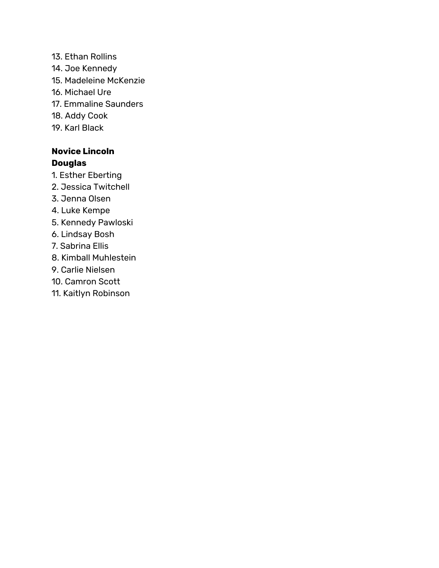13. Ethan Rollins 14. Joe Kennedy 15. Madeleine McKenzie 16. Michael Ure 17. Emmaline Saunders 18. Addy Cook 19. Karl Black

# **Novice Lincoln Douglas**

- 1. Esther Eberting
- 2. Jessica Twitchell
- 3. Jenna Olsen
- 4. Luke Kempe
- 5. Kennedy Pawloski
- 6. Lindsay Bosh
- 7. Sabrina Ellis
- 8. Kimball Muhlestein
- 9. Carlie Nielsen
- 10. Camron Scott
- 11. Kaitlyn Robinson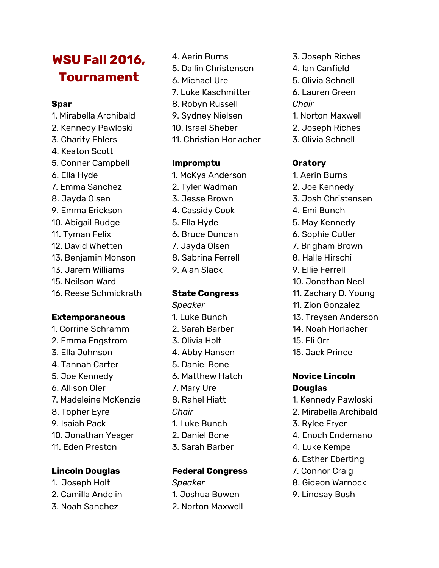# **WSU Fall 2016, Tournament**

#### **Spar**

- 1. Mirabella Archibald
- 2. Kennedy Pawloski
- 3. Charity Ehlers
- 4. Keaton Scott
- 5. Conner Campbell
- 6. Ella Hyde
- 7. Emma Sanchez
- 8. Jayda Olsen
- 9. Emma Erickson
- 10. Abigail Budge
- 11. Tyman Felix
- 12. David Whetten
- 13. Benjamin Monson
- 13. Jarem Williams
- 15. Neilson Ward
- 16. Reese Schmickrath

#### **Extemporaneous**

1. Corrine Schramm 2. Emma Engstrom 3. Ella Johnson 4. Tannah Carter 5. Joe Kennedy 6. Allison Oler 7. Madeleine McKenzie 8. Topher Eyre 9. Isaiah Pack 10. Jonathan Yeager 11. Eden Preston

### **Lincoln Douglas**

- 1. Joseph Holt
- 2. Camilla Andelin
- 3. Noah Sanchez
- 4. Aerin Burns
- 5. Dallin Christensen
- 6. Michael Ure
- 7. Luke Kaschmitter
- 8. Robyn Russell
- 9. Sydney Nielsen
- 10. Israel Sheber
- 11. Christian Horlacher

### **Impromptu**

- 1. McKya Anderson
- 2. Tyler Wadman
- 3. Jesse Brown
- 4. Cassidy Cook
- 5. Ella Hyde
- 6. Bruce Duncan
- 7. Jayda Olsen
- 8. Sabrina Ferrell
- 9. Alan Slack

#### **State Congress**

*Speaker* 1. Luke Bunch 2. Sarah Barber 3. Olivia Holt 4. Abby Hansen 5. Daniel Bone 6. Matthew Hatch 7. Mary Ure 8. Rahel Hiatt *Chair* 1. Luke Bunch 2. Daniel Bone 3. Sarah Barber

### **Federal Congress**

*Speaker* 1. Joshua Bowen 2. Norton Maxwell

- 3. Joseph Riches
- 4. Ian Canfield
- 5. Olivia Schnell
- 6. Lauren Green *Chair*
- 1. Norton Maxwell
- 2. Joseph Riches
- 3. Olivia Schnell

# **Oratory**

- 1. Aerin Burns
- 2. Joe Kennedy
- 3. Josh Christensen
- 4. Emi Bunch
- 5. May Kennedy
- 6. Sophie Cutler
- 7. Brigham Brown
- 8. Halle Hirschi
- 9. Ellie Ferrell
- 10. Jonathan Neel
- 11. Zachary D. Young
- 11. Zion Gonzalez
- 13. Treysen Anderson
- 14. Noah Horlacher
- 15. Eli Orr
- 15. Jack Prince

#### **Novice Lincoln Douglas**

- 1. Kennedy Pawloski
- 2. Mirabella Archibald
- 3. Rylee Fryer
- 4. Enoch Endemano
- 4. Luke Kempe
- 6. Esther Eberting
- 7. Connor Craig
- 8. Gideon Warnock
- 9. Lindsay Bosh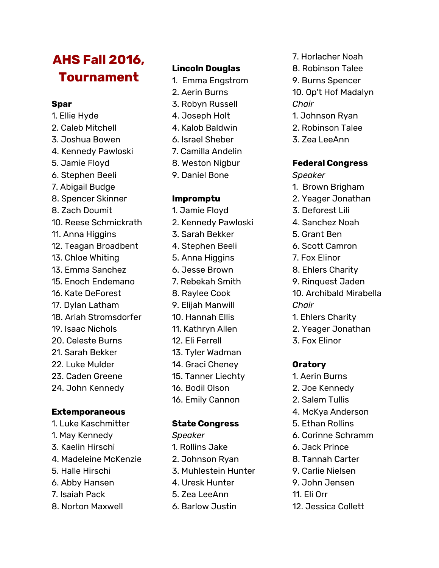# **AHS Fall 2016, Tournament**

#### **Spar**

1. Ellie Hyde 2. Caleb Mitchell 3. Joshua Bowen 4. Kennedy Pawloski 5. Jamie Floyd 6. Stephen Beeli 7. Abigail Budge 8. Spencer Skinner 8. Zach Doumit 10. Reese Schmickrath 11. Anna Higgins 12. Teagan Broadbent 13. Chloe Whiting 13. Emma Sanchez 15. Enoch Endemano 16. Kate DeForest 17. Dylan Latham 18. Ariah Stromsdorfer 19. Isaac Nichols 20. Celeste Burns 21. Sarah Bekker 22. Luke Mulder 23. Caden Greene 24. John Kennedy

### **Extemporaneous**

- 1. Luke Kaschmitter
- 1. May Kennedy
- 3. Kaelin Hirschi
- 4. Madeleine McKenzie
- 5. Halle Hirschi
- 6. Abby Hansen
- 7. Isaiah Pack
- 8. Norton Maxwell

# **Lincoln Douglas**

- 1. Emma Engstrom
- 2. Aerin Burns
- 3. Robyn Russell
- 4. Joseph Holt
- 4. Kalob Baldwin
- 6. Israel Sheber
- 7. Camilla Andelin
- 8. Weston Nigbur
- 9. Daniel Bone

### **Impromptu**

- 1. Jamie Floyd 2. Kennedy Pawloski
- 3. Sarah Bekker
- 4. Stephen Beeli
- 5. Anna Higgins
- 6. Jesse Brown
- 7. Rebekah Smith
- 8. Raylee Cook
- 9. Elijah Manwill
- 10. Hannah Ellis
- 11. Kathryn Allen
- 
- 
- 16. Bodil Olson
- 16. Emily Cannon

### **State Congress**

- *Speaker*
- 1. Rollins Jake
- 2. Johnson Ryan
- 3. Muhlestein Hunter
- 4. Uresk Hunter
- 5. Zea LeeAnn
- 6. Barlow Justin
- 7. Horlacher Noah
- 8. Robinson Talee
- 9. Burns Spencer
- 10. Op't Hof Madalyn *Chair*
- 1. Johnson Ryan
- 2. Robinson Talee
- 3. Zea LeeAnn

### **Federal Congress**

*Speaker*

- 1. Brown Brigham
- 2. Yeager Jonathan
- 3. Deforest Lili
- 4. Sanchez Noah
- 5. Grant Ben
- 6. Scott Camron
- 7. Fox Elinor
- 8. Ehlers Charity
- 9. Rinquest Jaden

10. Archibald Mirabella *Chair*

- 1. Ehlers Charity
- 2. Yeager Jonathan
- 3. Fox Elinor

### **Oratory**

- 1. Aerin Burns
- 2. Joe Kennedy
- 2. Salem Tullis
- 4. McKya Anderson
- 5. Ethan Rollins
- 6. Corinne Schramm
- 6. Jack Prince
- 8. Tannah Carter
- 9. Carlie Nielsen
- 9. John Jensen
- 11. Eli Orr
- 12. Jessica Collett
- 
- 

- - 12. Eli Ferrell
	- 13. Tyler Wadman
	- 14. Graci Cheney
	- 15. Tanner Liechty
	-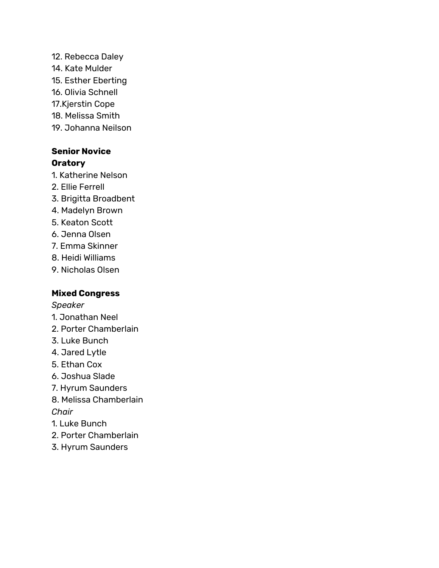- 12. Rebecca Daley
- 14. Kate Mulder
- 15. Esther Eberting
- 16. Olivia Schnell
- 17.Kjerstin Cope
- 18. Melissa Smith
- 19. Johanna Neilson

# **Senior Novice Oratory**

- 1. Katherine Nelson
- 2. Ellie Ferrell
- 3. Brigitta Broadbent
- 4. Madelyn Brown
- 5. Keaton Scott
- 6. Jenna Olsen
- 7. Emma Skinner
- 8. Heidi Williams
- 9. Nicholas Olsen

# **Mixed Congress**

*Speaker*

- 1. Jonathan Neel
- 2. Porter Chamberlain
- 3. Luke Bunch
- 4. Jared Lytle
- 5. Ethan Cox
- 6. Joshua Slade
- 7. Hyrum Saunders
- 8. Melissa Chamberlain *Chair*
- 1. Luke Bunch
- 2. Porter Chamberlain
- 3. Hyrum Saunders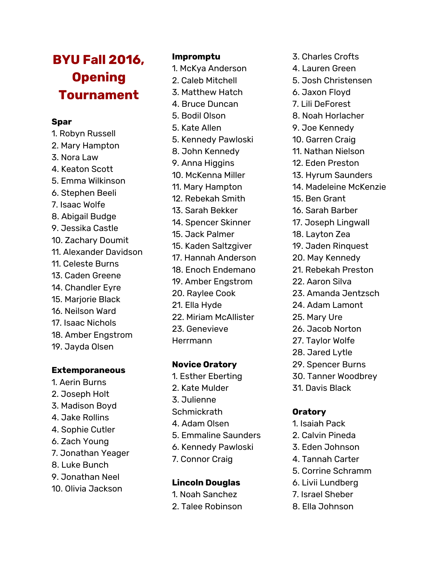# **BYU Fall 2016, Opening Tournament**

#### **Spar**

1. Robyn Russell 2. Mary Hampton 3. Nora Law 4. Keaton Scott 5. Emma Wilkinson 6. Stephen Beeli 7. Isaac Wolfe 8. Abigail Budge 9. Jessika Castle 10. Zachary Doumit 11. Alexander Davidson 11. Celeste Burns 13. Caden Greene 14. Chandler Eyre 15. Marjorie Black 16. Neilson Ward 17. Isaac Nichols 18. Amber Engstrom 19. Jayda Olsen

#### **Extemporaneous**

1. Aerin Burns 2. Joseph Holt 3. Madison Boyd 4. Jake Rollins 4. Sophie Cutler 6. Zach Young 7. Jonathan Yeager 8. Luke Bunch 9. Jonathan Neel 10. Olivia Jackson

### **Impromptu**

- 1. McKya Anderson
- 2. Caleb Mitchell
- 3. Matthew Hatch 4. Bruce Duncan
- 5. Bodil Olson
- 5. Kate Allen
- 5. Kennedy Pawloski
- 8. John Kennedy
- 9. Anna Higgins
- 10. McKenna Miller
- 11. Mary Hampton 12. Rebekah Smith
- 
- 13. Sarah Bekker
- 14. Spencer Skinner
- 15. Jack Palmer 15. Kaden Saltzgiver
- 17. Hannah Anderson
- 18. Enoch Endemano
- 19. Amber Engstrom
- 20. Raylee Cook
- 21. Ella Hyde
- 
- 22. Miriam McAllister
- 23. Genevieve Herrmann
- 

# **Novice Oratory**

1. Esther Eberting 2. Kate Mulder 3. Julienne **Schmickrath** 4. Adam Olsen 5. Emmaline Saunders 6. Kennedy Pawloski 7. Connor Craig

### **Lincoln Douglas**

- 1. Noah Sanchez
- 2. Talee Robinson
- 3. Charles Crofts
- 4. Lauren Green
- 5. Josh Christensen
- 6. Jaxon Floyd
- 7. Lili DeForest
- 8. Noah Horlacher
- 9. Joe Kennedy
- 10. Garren Craig
- 11. Nathan Nielson
- 12. Eden Preston
- 13. Hyrum Saunders
- 14. Madeleine McKenzie
- 15. Ben Grant
- 16. Sarah Barber
- 17. Joseph Lingwall
- 18. Layton Zea
- 19. Jaden Rinquest
- 20. May Kennedy
- 21. Rebekah Preston
- 22. Aaron Silva
- 23. Amanda Jentzsch
- 24. Adam Lamont
- 25. Mary Ure
- 26. Jacob Norton
- 27. Taylor Wolfe
- 28. Jared Lytle
- 29. Spencer Burns
- 30. Tanner Woodbrey
- 31. Davis Black

### **Oratory**

- 1. Isaiah Pack
- 2. Calvin Pineda
- 3. Eden Johnson
- 4. Tannah Carter
- 5. Corrine Schramm
- 6. Livii Lundberg
- 7. Israel Sheber
- 8. Ella Johnson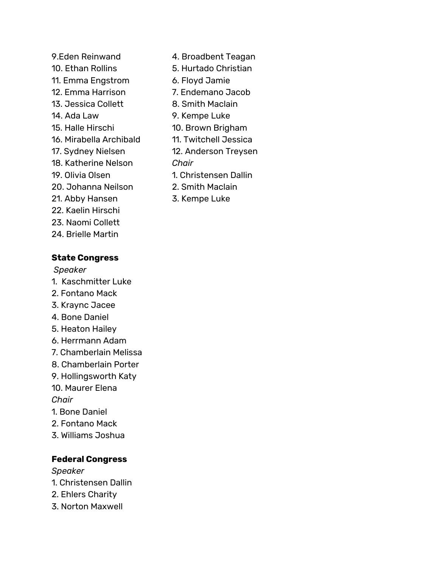9.Eden Reinwand 10. Ethan Rollins 11. Emma Engstrom 12. Emma Harrison 13. Jessica Collett 14. Ada Law 15. Halle Hirschi 16. Mirabella Archibald 17. Sydney Nielsen 18. Katherine Nelson 19. Olivia Olsen 20. Johanna Neilson 21. Abby Hansen 22. Kaelin Hirschi 23. Naomi Collett 24. Brielle Martin

# **State Congress**

*Speaker*

- 1. Kaschmitter Luke
- 2. Fontano Mack
- 3. Kraync Jacee
- 4. Bone Daniel
- 5. Heaton Hailey
- 6. Herrmann Adam
- 7. Chamberlain Melissa
- 8. Chamberlain Porter
- 9. Hollingsworth Katy 10. Maurer Elena

*Chair*

- 1. Bone Daniel
- 2. Fontano Mack
- 3. Williams Joshua

# **Federal Congress**

*Speaker*

- 1. Christensen Dallin
- 2. Ehlers Charity
- 3. Norton Maxwell
- 4. Broadbent Teagan
- 5. Hurtado Christian
- 6. Floyd Jamie
- 7. Endemano Jacob
- 8. Smith Maclain
- 9. Kempe Luke
- 10. Brown Brigham
- 11. Twitchell Jessica
- 12. Anderson Treysen
- *Chair*
- 1. Christensen Dallin
- 2. Smith Maclain
- 3. Kempe Luke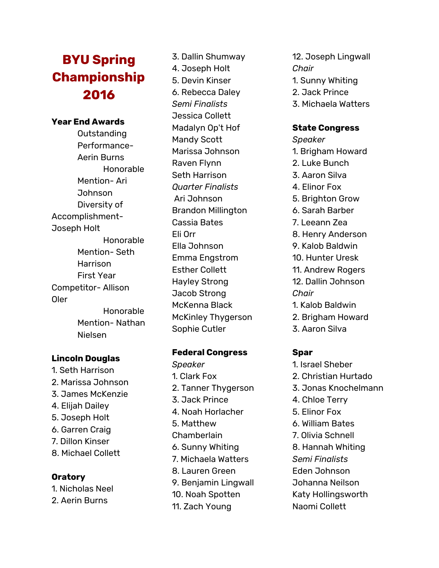# **BYU Spring Championship 2 0 1 6**

#### Year End Awards

Outstanding Performance-A e rin B u r n s Honorable Mention- Ari Johnson Diversity of Accomplishment-Joseph Holt Honorable Mention- Seth Harrison First Year Competitor- Allison Ole r Honorable Mention- Nathan Niels e n

#### **Lincoln Douglas**

1. Seth Harrison 2. Marissa Johnson 3. James McKenzie 4. Elij a h D aile y 5. Joseph Holt 6. Garren Craig 7. Dillo n Kin s e r 8. Michael Collett

### **O r a t o r y**

1. Nic h ola s N e el 2. Aerin Burns

3. D allin S h u m w a y 4. Joseph Holt 5. Devi n Kin ser 6. R e bec c a D ale y *Se m i Fin a l is t s* Jessica Collett Madalyn Op't Hof Mandy Scott Marissa Johnson R a ven Fly n n Set h H a r ris o n *Quarter Finalists* A ri J o h n s o n Brandon Millington Cassia Bates Eli Orr Ella Johnson Emma Engstrom E s t her C ollet t Hayley Strong Jacob Strong McKenna Black McKinley Thygerson Sophie Cutler

#### **Federal Congress**

*Speaker* 1. Clark Fox 2. Tanner Thygerson 3. Jack Prince 4. Noah Horlacher 5. Matthew **Chamberlain** 6. S u n n y W hitin g 7. Michaela Watters 8. Lauren Green 9. Ben j a min Lin g w all 10. Noah Spotten 11. Zach Young

- 12. Joseph Lingwall *Chair* 1. Sunny Whiting
- 2. Jack Prince
- 3. Michaela Watters

### **State Congress**

- *Speaker*
- 1. Brigham Howard
- 2. Luke Bunch
- 3. A a r o n Silv a
- 4. Elinor Fox
- 5. Brighton Grow
- 6. Sarah Barber
- 7. Leeann Zea
- 8. Henry Anderson
- 9. K alo b B ald win
- 10. Hunter Uresk
- 11. Andrew Rogers 1 2. D allin J o h n s o n
- *C h a ir*
- 1. K alo b B ald win
- 2. Brigham Howard
- 3. A a r o n Silv a

- 1. Israel Sheber
- 2. C h ris tia n H u r t a d o
- 3. Jonas Knochelmann
- 4. Chloe Terry
- 5. Elinor Fox
- 6. William Bates
- 7. Olivia Schnell
- 8. Hannah Whitin g
- *Se m i Fin a l is t s*
- E d e n J o h n s o n
- J o h a n n a N eils o n
- Katy Hollingsworth
- Naomi Collett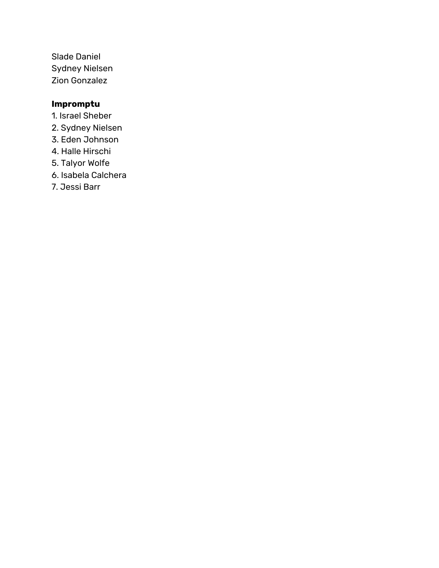Slade Daniel Sydney Nielsen Zion Gonzalez

# **Impromptu**

- 1. Israel Sheber
- 2. Sydney Nielsen
- 3. Eden Johnson
- 4. Halle Hirschi
- 5. Talyor Wolfe
- 6. Isabela Calchera
- 7. Jessi Barr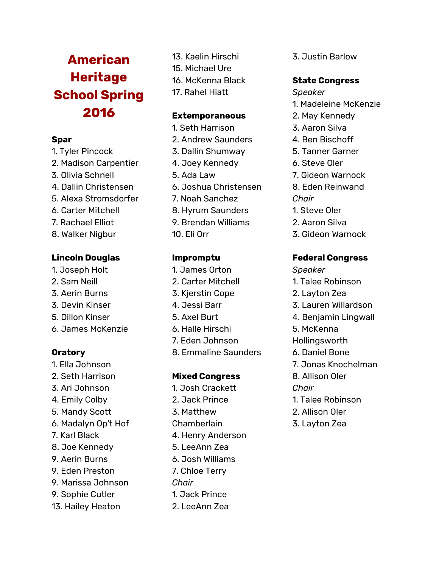# **American Heritage School Spring 2016**

#### **Spar**

- 1. Tyler Pincock
- 2. Madison Carpentier
- 3. Olivia Schnell
- 4. Dallin Christensen
- 5. Alexa Stromsdorfer
- 6. Carter Mitchell
- 7. Rachael Elliot
- 8. Walker Nigbur

### **Lincoln Douglas**

- 1. Joseph Holt
- 2. Sam Neill
- 3. Aerin Burns
- 3. Devin Kinser
- 5. Dillon Kinser
- 6. James McKenzie

# **Oratory**

- 1. Ella Johnson
- 2. Seth Harrison
- 3. Ari Johnson
- 4. Emily Colby
- 5. Mandy Scott
- 6. Madalyn Op't Hof
- 7. Karl Black
- 8. Joe Kennedy
- 9. Aerin Burns
- 9. Eden Preston
- 9. Marissa Johnson
- 9. Sophie Cutler
- 13. Hailey Heaton
- 13. Kaelin Hirschi
- 15. Michael Ure
- 16. McKenna Black
- 17. Rahel Hiatt

### **Extemporaneous**

- 1. Seth Harrison
- 2. Andrew Saunders
- 3. Dallin Shumway
- 4. Joey Kennedy
- 5. Ada Law
- 6. Joshua Christensen
- 7. Noah Sanchez
- 8. Hyrum Saunders
- 9. Brendan Williams
- 10. Eli Orr

# **Impromptu**

- 1. James Orton
- 2. Carter Mitchell
- 3. Kjerstin Cope
- 4. Jessi Barr
- 5. Axel Burt
- 6. Halle Hirschi
- 7. Eden Johnson
- 8. Emmaline Saunders

### **Mixed Congress**

1. Josh Crackett 2. Jack Prince 3. Matthew Chamberlain 4. Henry Anderson 5. LeeAnn Zea 6. Josh Williams 7. Chloe Terry *Chair* 1. Jack Prince 2. LeeAnn Zea

3. Justin Barlow

# **State Congress**

- *Speaker*
- 1. Madeleine McKenzie
- 2. May Kennedy
- 3. Aaron Silva
- 4. Ben Bischoff
- 5. Tanner Garner
- 6. Steve Oler
- 7. Gideon Warnock
- 8. Eden Reinwand
- *Chair*
- 1. Steve Oler
- 2. Aaron Silva
- 3. Gideon Warnock

### **Federal Congress**

- *Speaker*
- 1. Talee Robinson
- 2. Layton Zea
- 3. Lauren Willardson
- 4. Benjamin Lingwall
- 5. McKenna
- Hollingsworth
- 6. Daniel Bone
- 7. Jonas Knochelman
- 8. Allison Oler
- *Chair*
	- 1. Talee Robinson
	- 2. Allison Oler
	- 3. Layton Zea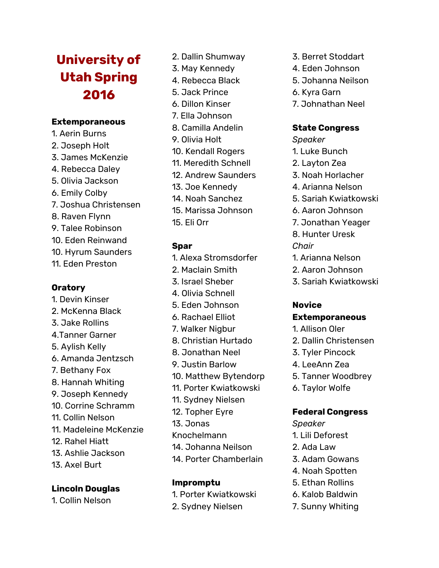# **University of Utah Spring 2016**

### **Extemporaneous**

- 1. Aerin Burns 2. Joseph Holt 3. James McKenzie 4. Rebecca Daley 5. Olivia Jackson 6. Emily Colby 7. Joshua Christensen
- 8. Raven Flynn
- 9. Talee Robinson
- 10. Eden Reinwand
- 10. Hyrum Saunders
- 11. Eden Preston

# **Oratory**

- 1. Devin Kinser 2. McKenna Black 3. Jake Rollins
- 4.Tanner Garner
- 5. Aylish Kelly
- 6. Amanda Jentzsch
- 7. Bethany Fox
- 8. Hannah Whiting
- 9. Joseph Kennedy
- 10. Corrine Schramm
- 11. Collin Nelson
- 11. Madeleine McKenzie
- 12. Rahel Hiatt
- 13. Ashlie Jackson
- 13. Axel Burt

# **Lincoln Douglas**

1. Collin Nelson

- 2. Dallin Shumway
- 3. May Kennedy
- 4. Rebecca Black
- 5. Jack Prince
- 6. Dillon Kinser
- 7. Ella Johnson
- 8. Camilla Andelin
- 9. Olivia Holt
- 10. Kendall Rogers
- 11. Meredith Schnell
- 12. Andrew Saunders
- 13. Joe Kennedy
- 14. Noah Sanchez
- 15. Marissa Johnson
- 15. Eli Orr

# **Spar**

- 1. Alexa Stromsdorfer
- 2. Maclain Smith
- 3. Israel Sheber
- 4. Olivia Schnell
- 5. Eden Johnson
- 6. Rachael Elliot
- 7. Walker Nigbur
- 8. Christian Hurtado
- 8. Jonathan Neel
- 9. Justin Barlow
- 10. Matthew Bytendorp
- 11. Porter Kwiatkowski
- 11. Sydney Nielsen
- 12. Topher Eyre
- 13. Jonas
- Knochelmann
- 14. Johanna Neilson
- 14. Porter Chamberlain

# **Impromptu**

- 1. Porter Kwiatkowski
- 2. Sydney Nielsen
- 3. Berret Stoddart
- 4. Eden Johnson
- 5. Johanna Neilson
- 6. Kyra Garn
- 7. Johnathan Neel

# **State Congress**

- *Speaker*
- 1. Luke Bunch
- 2. Layton Zea
- 3. Noah Horlacher
- 4. Arianna Nelson
- 5. Sariah Kwiatkowski
- 6. Aaron Johnson
- 7. Jonathan Yeager
- 8. Hunter Uresk

# *Chair*

- 1. Arianna Nelson
- 2. Aaron Johnson
- 3. Sariah Kwiatkowski

#### **Novice Extemporaneous**

- 1. Allison Oler
- 2. Dallin Christensen
- 3. Tyler Pincock
- 4. LeeAnn Zea
- 5. Tanner Woodbrey
- 6. Taylor Wolfe

### **Federal Congress**

- *Speaker*
- 1. Lili Deforest
- 2. Ada Law
- 3. Adam Gowans
- 4. Noah Spotten
- 5. Ethan Rollins
- 6. Kalob Baldwin
- 7. Sunny Whiting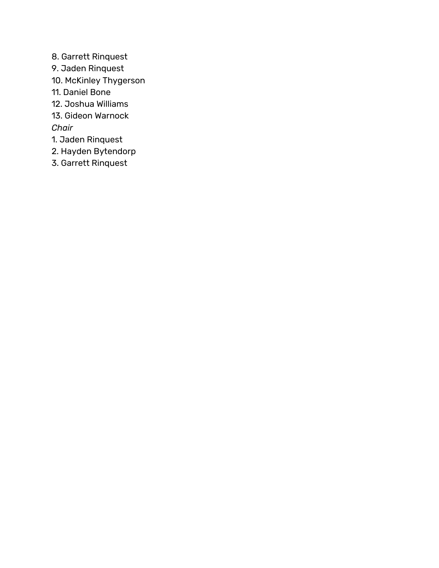- 8. Garrett Rinquest
- 9. Jaden Rinquest
- 10. McKinley Thygerson
- 11. Daniel Bone
- 12. Joshua Williams
- 13. Gideon Warnock

*Chair*

- 1. Jaden Rinquest
- 2. Hayden Bytendorp
- 3. Garrett Rinquest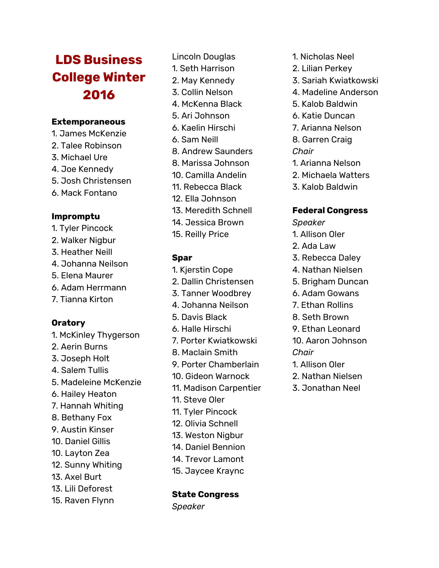# **LDS Business College Winter 2016**

#### **Extemporaneous**

- 1. James McKenzie
- 2. Talee Robinson
- 3. Michael Ure
- 4. Joe Kennedy
- 5. Josh Christensen
- 6. Mack Fontano

#### **Impromptu**

- 1. Tyler Pincock
- 2. Walker Nigbur
- 3. Heather Neill
- 4. Johanna Neilson
- 5. Elena Maurer
- 6. Adam Herrmann
- 7. Tianna Kirton

### **Oratory**

- 1. McKinley Thygerson
- 2. Aerin Burns
- 3. Joseph Holt
- 4. Salem Tullis
- 5. Madeleine McKenzie
- 6. Hailey Heaton
- 7. Hannah Whiting
- 8. Bethany Fox
- 9. Austin Kinser
- 10. Daniel Gillis
- 10. Layton Zea
- 12. Sunny Whiting
- 13. Axel Burt
- 13. Lili Deforest
- 15. Raven Flynn
- Lincoln Douglas
- 1. Seth Harrison
- 2. May Kennedy
- 3. Collin Nelson
- 4. McKenna Black
- 5. Ari Johnson
- 6. Kaelin Hirschi
- 6. Sam Neill
- 8. Andrew Saunders
- 8. Marissa Johnson
- 10. Camilla Andelin
- 11. Rebecca Black
- 12. Ella Johnson
- 13. Meredith Schnell
- 14. Jessica Brown
- 15. Reilly Price

#### **Spar**

- 1. Kjerstin Cope
- 2. Dallin Christensen
- 3. Tanner Woodbrey
- 4. Johanna Neilson
- 5. Davis Black
- 6. Halle Hirschi
- 7. Porter Kwiatkowski
- 8. Maclain Smith
- 9. Porter Chamberlain
- 10. Gideon Warnock
- 11. Madison Carpentier
- 11. Steve Oler
- 11. Tyler Pincock
- 12. Olivia Schnell
- 13. Weston Nigbur
- 14. Daniel Bennion
- 14. Trevor Lamont
- 15. Jaycee Kraync

#### **State Congress**

*Speaker*

- 1. Nicholas Neel
- 2. Lilian Perkey
- 3. Sariah Kwiatkowski
- 4. Madeline Anderson
- 5. Kalob Baldwin
- 6. Katie Duncan
- 7. Arianna Nelson
- 8. Garren Craig

#### *Chair*

- 1. Arianna Nelson
- 2. Michaela Watters
- 3. Kalob Baldwin

#### **Federal Congress**

- *Speaker*
- 1. Allison Oler
- 2. Ada Law
- 3. Rebecca Daley
- 4. Nathan Nielsen
- 5. Brigham Duncan
- 6. Adam Gowans
- 7. Ethan Rollins
- 8. Seth Brown
- 9. Ethan Leonard
- 10. Aaron Johnson *Chair*
- 1. Allison Oler
- 2. Nathan Nielsen
- 3. Jonathan Neel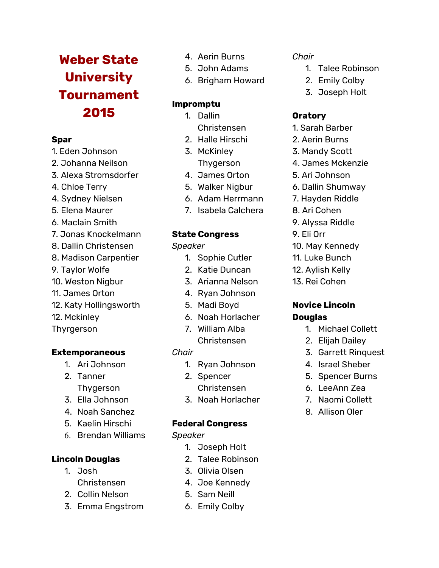# **Weber State University Tournament 2015**

# **Spar**

- 1. Eden Johnson
- 2. Johanna Neilson
- 3. Alexa Stromsdorfer
- 4. Chloe Terry
- 4. Sydney Nielsen
- 5. Elena Maurer
- 6. Maclain Smith
- 7. Jonas Knockelmann
- 8. Dallin Christensen
- 8. Madison Carpentier
- 9. Taylor Wolfe
- 10. Weston Nigbur
- 11. James Orton
- 12. Katy Hollingsworth
- 12. Mckinley
- Thyrgerson

# **Extemporaneous**

- 1. Ari Johnson
- 2. Tanner Thygerson
- 3. Ella Johnson
- 4. Noah Sanchez
- 5. Kaelin Hirschi
- 6. Brendan Williams

# **Lincoln Douglas**

- 1. Josh Christensen
- 2. Collin Nelson
- 3. Emma Engstrom
- 4. Aerin Burns
- 5. John Adams
- 6. Brigham Howard

# **Impromptu**

- 1. Dallin Christensen
- 2. Halle Hirschi
- 3. McKinley
	- Thygerson
- 4. James Orton
- 5. Walker Nigbur
- 6. Adam Herrmann
- 7. Isabela Calchera

# **State Congress**

#### *Speaker*

- 1. Sophie Cutler
- 2. Katie Duncan
- 3. Arianna Nelson
- 4. Ryan Johnson
- 5. Madi Boyd
- 6. Noah Horlacher
- 7. William Alba Christensen

# *Chair*

- 1. Ryan Johnson
- 2. Spencer Christensen
- 3. Noah Horlacher

### **Federal Congress**

*Speaker*

- 1. Joseph Holt
- 2. Talee Robinson
- 3. Olivia Olsen
- 4. Joe Kennedy
- 5. Sam Neill
- 6. Emily Colby

### *Chair*

- 1. Talee Robinson
- 2. Emily Colby
- 3. Joseph Holt

# **Oratory**

- 1. Sarah Barber
- 2. Aerin Burns
- 3. Mandy Scott
- 4. James Mckenzie
- 5. Ari Johnson
- 6. Dallin Shumway
- 7. Hayden Riddle
- 8. Ari Cohen
- 9. Alyssa Riddle
- 9. Eli Orr
- 10. May Kennedy
- 11. Luke Bunch
- 12. Aylish Kelly
- 13. Rei Cohen

# **Novice Lincoln Douglas**

- 1. Michael Collett
- 2. Elijah Dailey
- 3. Garrett Rinquest
- 4. Israel Sheber
- 5. Spencer Burns
- 6. LeeAnn Zea
- 7. Naomi Collett
- 8. Allison Oler
-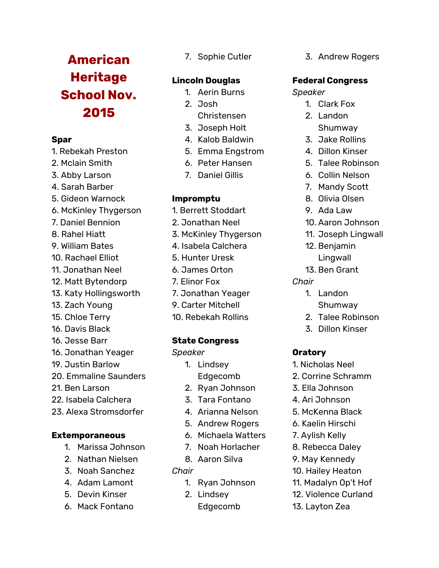# **American Heritage School Nov. 2015**

### **Spar**

- 1. Rebekah Preston
- 2. Mclain Smith
- 3. Abby Larson
- 4. Sarah Barber
- 5. Gideon Warnock
- 6. McKinley Thygerson
- 7. Daniel Bennion
- 8. Rahel Hiatt
- 9. William Bates
- 10. Rachael Elliot
- 11. Jonathan Neel
- 12. Matt Bytendorp
- 13. Katy Hollingsworth
- 13. Zach Young
- 15. Chloe Terry
- 16. Davis Black
- 16. Jesse Barr
- 16. Jonathan Yeager
- 19. Justin Barlow
- 20. Emmaline Saunders
- 21. Ben Larson
- 22. Isabela Calchera
- 23. Alexa Stromsdorfer

### **Extemporaneous**

- 1. Marissa Johnson
- 2. Nathan Nielsen
- 3. Noah Sanchez
- 4. Adam Lamont
- 5. Devin Kinser
- 6. Mack Fontano

7. Sophie Cutler

# **Lincoln Douglas**

- 1. Aerin Burns
- 2. Josh
- Christensen
- 3. Joseph Holt
- 4. Kalob Baldwin
- 5. Emma Engstrom
- 6. Peter Hansen
- 7. Daniel Gillis

# **Impromptu**

- 1. Berrett Stoddart
- 2. Jonathan Neel
- 3. McKinley Thygerson
- 4. Isabela Calchera
- 5. Hunter Uresk
- 6. James Orton
- 7. Elinor Fox
- 7. Jonathan Yeager
- 9. Carter Mitchell
- 10. Rebekah Rollins

# **State Congress**

### *Speaker*

- 1. Lindsey Edgecomb
- 2. Ryan Johnson
- 3. Tara Fontano
- 4. Arianna Nelson
- 5. Andrew Rogers
- 6. Michaela Watters
- 7. Noah Horlacher
- 8. Aaron Silva

### *Chair*

- 1. Ryan Johnson
- 2. Lindsey
	- Edgecomb

3. Andrew Rogers

# **Federal Congress**

### *Speaker*

- 1. Clark Fox
- 2. Landon Shumway
- 3. Jake Rollins
- 4. Dillon Kinser
- 5. Talee Robinson
- 6. Collin Nelson
- 7. Mandy Scott
- 8. Olivia Olsen
- 9. Ada Law
- 10. Aaron Johnson
- 11. Joseph Lingwall
- 12. Benjamin Lingwall
- 13. Ben Grant
- *Chair*
	- 1. Landon Shumway
	- 2. Talee Robinson
	- 3. Dillon Kinser

# **Oratory**

- 1. Nicholas Neel
- 2. Corrine Schramm
- 3. Ella Johnson
- 4. Ari Johnson
- 5. McKenna Black
- 6. Kaelin Hirschi
- 7. Aylish Kelly
- 8. Rebecca Daley
- 9. May Kennedy

13. Layton Zea

- 10. Hailey Heaton
- 11. Madalyn Op't Hof
- 12. Violence Curland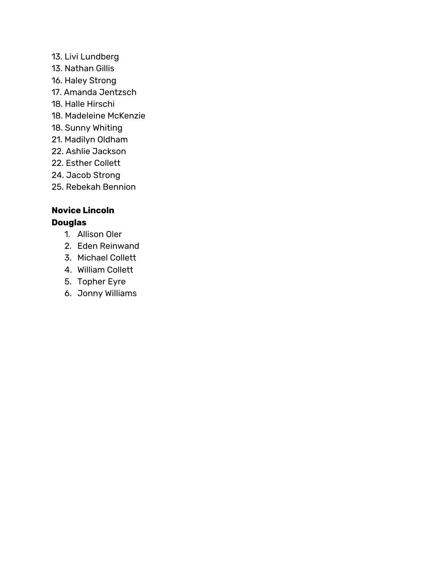- 13. Livi Lundberg 13. Nathan Gillis 16. Haley Strong 17. Amanda Jentzsch 18. Halle Hirschi 18. Madeleine McKenzie 18. Sunny Whiting 21. Madilyn Oldham 22. Ashlie Jackson 22. Esther Collett 24. Jacob Strong
- 25. Rebekah Bennion

# **Novice Lincoln Douglas**

- 1. Allison Oler
- 2. Eden Reinwand
- 3. Michael Collett
- 4. William Collett
- 5. Topher Eyre
- 6. Jonny Williams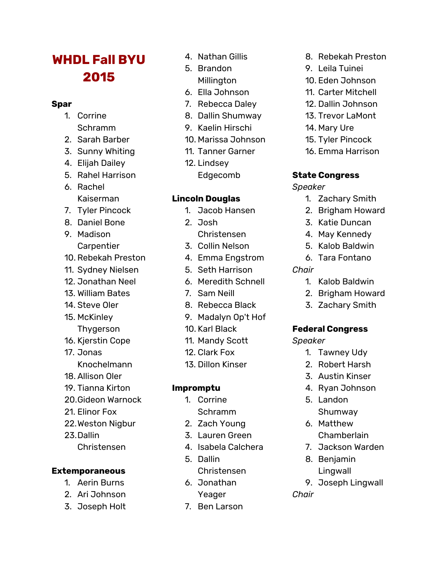# **WHDL Fall BYU 2015**

### **Spar**

- 1. Corrine Schramm
- 2. Sarah Barber
- 3. Sunny Whiting
- 4. Elijah Dailey
- 5. Rahel Harrison
- 6. Rachel Kaiserman
- 7. Tyler Pincock
- 8. Daniel Bone
- 9. Madison **Carpentier**
- 10. Rebekah Preston
- 11. Sydney Nielsen
- 12. Jonathan Neel
- 13. William Bates
- 14. Steve Oler
- 15. McKinley
- Thygerson
- 16. Kjerstin Cope
- 17. Jonas Knochelmann
- 18. Allison Oler
- 19. Tianna Kirton
- 20.Gideon Warnock
- 21. Elinor Fox
- 22.Weston Nigbur
- 23.Dallin
	- Christensen

# **Extemporaneous**

- 1. Aerin Burns
- 2. Ari Johnson
- 3. Joseph Holt
- 4. Nathan Gillis
- 5. Brandon Millington
- 6. Ella Johnson
- 7. Rebecca Daley
- 8. Dallin Shumway
- 9. Kaelin Hirschi
- 10. Marissa Johnson
- 11. Tanner Garner
- 12. Lindsey
	- Edgecomb

# **Lincoln Douglas**

- 1. Jacob Hansen
- 2. Josh
- Christensen
- 3. Collin Nelson
- 4. Emma Engstrom
- 5. Seth Harrison
- 6. Meredith Schnell
- 7. Sam Neill
- 8. Rebecca Black
- 9. Madalyn Op't Hof
- 10. Karl Black
- 11. Mandy Scott
- 12. Clark Fox
- 13. Dillon Kinser

# **Impromptu**

- 1. Corrine Schramm
- 2. Zach Young
- 3. Lauren Green
- 4. Isabela Calchera
- 5. Dallin
- Christensen
- 6. Jonathan
	- Yeager
- 7. Ben Larson
- 8. Rebekah Preston
- 9. Leila Tuinei
- 10. Eden Johnson
- 11. Carter Mitchell
- 12. Dallin Johnson
- 13. Trevor LaMont
- 14. Mary Ure
- 15. Tyler Pincock
- 16. Emma Harrison

# **State Congress**

# *Speaker*

- 1. Zachary Smith
- 2. Brigham Howard
- 3. Katie Duncan
- 4. May Kennedy
- 5. Kalob Baldwin
- 6. Tara Fontano
- *Chair*
	- 1. Kalob Baldwin
	- 2. Brigham Howard
	- 3. Zachary Smith

# **Federal Congress**

*Speaker*

- 1. Tawney Udy
- 2. Robert Harsh
- 3. Austin Kinser
- 4. Ryan Johnson
- 5. Landon Shumway
- 6. Matthew **Chamberlain**
- 7. Jackson Warden
- 8. Benjamin Lingwall
- 9. Joseph Lingwall

*Chair*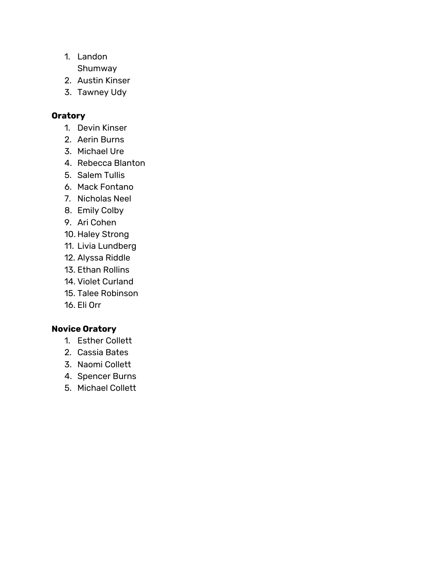- 1. Landon
	- Shumway
- 2. Austin Kinser
- 3. Tawney Udy

# **Oratory**

- 1. Devin Kinser
- 2. Aerin Burns
- 3. Michael Ure
- 4. Rebecca Blanton
- 5. Salem Tullis
- 6. Mack Fontano
- 7. Nicholas Neel
- 8. Emily Colby
- 9. Ari Cohen
- 10. Haley Strong
- 11. Livia Lundberg
- 12. Alyssa Riddle
- 13. Ethan Rollins
- 14. Violet Curland
- 15. Talee Robinson
- 16. Eli Orr

# **Novice Oratory**

- 1. Esther Collett
- 2. Cassia Bates
- 3. Naomi Collett
- 4. Spencer Burns
- 5. Michael Collett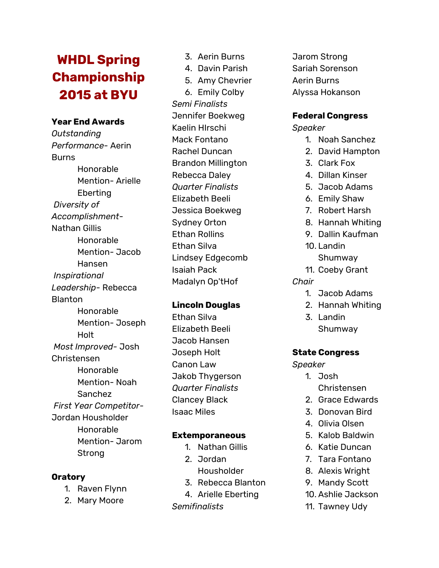# **WHDL Spring Championship 2015 at BYU**

#### **Year End Awards**

*Outstanding Performance-* Aerin **Burns** Honorable Mention- Arielle Eberting *Diversity of Accomplishment-*Nathan Gillis Honorable Mention- Jacob Hansen *Inspirational Leadership-* Rebecca Blanton Honorable Mention- Joseph Holt *Most Improved-* Josh Christensen Honorable Mention- Noah Sanchez *First Year Competitor-*Jordan Housholder Honorable Mention- Jarom Strong

#### **Oratory**

- 1. Raven Flynn
- 2. Mary Moore
- 3. Aerin Burns
- 4. Davin Parish
- 5. Amy Chevrier

6. Emily Colby *Semi Finalists* Jennifer Boekweg Kaelin HIrschi Mack Fontano Rachel Duncan Brandon Millington Rebecca Daley *Quarter Finalists* Elizabeth Beeli Jessica Boekweg Sydney Orton Ethan Rollins Ethan Silva Lindsey Edgecomb Isaiah Pack Madalyn Op'tHof

### **Lincoln Douglas**

Ethan Silva Elizabeth Beeli Jacob Hansen Joseph Holt Canon Law Jakob Thygerson *Quarter Finalists* Clancey Black Isaac Miles

#### **Extemporaneous**

- 1. Nathan Gillis
- 2. Jordan Housholder
- 
- 3. Rebecca Blanton
- 4. Arielle Eberting

*Semifinalists*

Jarom Strong Sariah Sorenson Aerin Burns Alyssa Hokanson

#### **Federal Congress**

*Speaker*

- 1. Noah Sanchez
- 2. David Hampton
- 3. Clark Fox
- 4. Dillan Kinser
- 5. Jacob Adams
- 6. Emily Shaw
- 7. Robert Harsh
- 8. Hannah Whiting
- 9. Dallin Kaufman
- 10. Landin Shumway
- 11. Coeby Grant
- *Chair*
	- 1. Jacob Adams
	- 2. Hannah Whiting
	- 3. Landin Shumway

### **State Congress**

*Speaker*

- 1. Josh Christensen
- 2. Grace Edwards
- 3. Donovan Bird
- 4. Olivia Olsen
- 5. Kalob Baldwin
- 6. Katie Duncan
- 7. Tara Fontano
- 8. Alexis Wright
- 9. Mandy Scott 10. Ashlie Jackson
- 11. Tawney Udy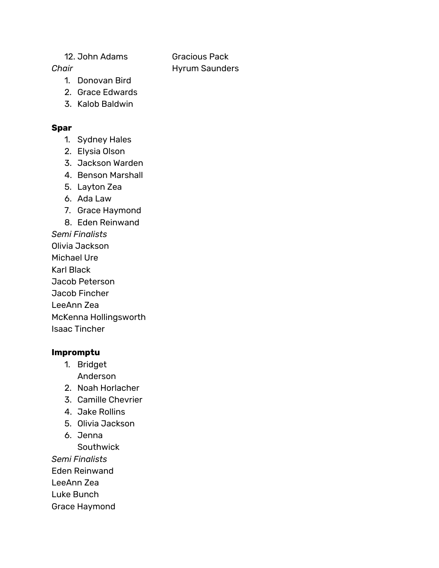#### 12. John Adams

Gracious Pack Hyrum Saunders

# *Chair*

- 1. Donovan Bird
- 2. Grace Edwards
- 3. Kalob Baldwin

### **Spar**

- 1. Sydney Hales
- 2. Elysia Olson
- 3. Jackson Warden
- 4. Benson Marshall
- 5. Layton Zea
- 6. Ada Law
- 7. Grace Haymond
- 8. Eden Reinwand

*Semi Finalists*

- Olivia Jackson
- Michael Ure
- Karl Black
- Jacob Peterson

Jacob Fincher

LeeAnn Zea

McKenna Hollingsworth

Isaac Tincher

# **Impromptu**

- 1. Bridget Anderson
- 2. Noah Horlacher
- 3. Camille Chevrier
- 4. Jake Rollins
- 5. Olivia Jackson
- 6. Jenna
	- Southwick

*Semi Finalists*

Eden Reinwand

LeeAnn Zea

Luke Bunch

Grace Haymond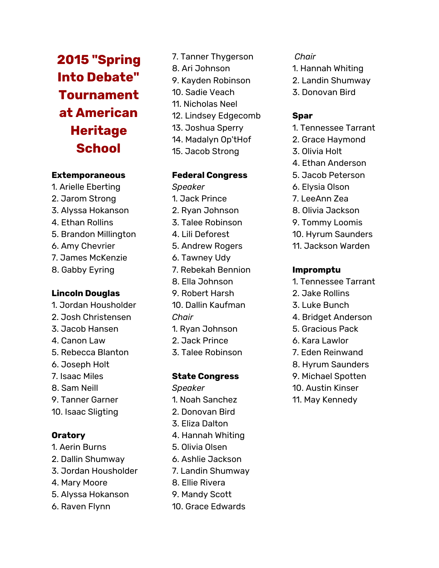**2015 "Spring Into Debate" Tournament at American Heritage School**

#### **Extemporaneous**

1. Arielle Eberting 2. Jarom Strong 3. Alyssa Hokanson 4. Ethan Rollins 5. Brandon Millington 6. Amy Chevrier 7. James McKenzie 8. Gabby Eyring

#### **Lincoln Douglas**

- 1. Jordan Housholder
- 2. Josh Christensen
- 3. Jacob Hansen
- 4. Canon Law
- 5. Rebecca Blanton
- 6. Joseph Holt
- 7. Isaac Miles
- 8. Sam Neill
- 9. Tanner Garner
- 10. Isaac Sligting

### **Oratory**

- 1. Aerin Burns
- 2. Dallin Shumway
- 3. Jordan Housholder
- 4. Mary Moore
- 5. Alyssa Hokanson
- 6. Raven Flynn
- 7. Tanner Thygerson 8. Ari Johnson 9. Kayden Robinson 10. Sadie Veach 11. Nicholas Neel 12. Lindsey Edgecomb 13. Joshua Sperry 14. Madalyn Op'tHof
	- 15. Jacob Strong

#### **Federal Congress**

- *Speaker* 1. Jack Prince 2. Ryan Johnson 3. Talee Robinson 4. Lili Deforest 5. Andrew Rogers 6. Tawney Udy 7. Rebekah Bennion 8. Ella Johnson 9. Robert Harsh 10. Dallin Kaufman *Chair* 1. Ryan Johnson
- 2. Jack Prince
- 3. Talee Robinson

#### **State Congress**

- *Speaker*
- 1. Noah Sanchez
- 2. Donovan Bird
- 3. Eliza Dalton
- 4. Hannah Whiting
- 5. Olivia Olsen
- 6. Ashlie Jackson
- 7. Landin Shumway
- 8. Ellie Rivera
- 9. Mandy Scott
- 

#### *Chair*

- 1. Hannah Whiting
- 2. Landin Shumway
- 3. Donovan Bird

### **Spar**

- 1. Tennessee Tarrant
- 2. Grace Haymond
- 3. Olivia Holt
- 4. Ethan Anderson
- 5. Jacob Peterson
- 6. Elysia Olson
- 7. LeeAnn Zea
- 8. Olivia Jackson
- 9. Tommy Loomis
- 10. Hyrum Saunders
- 11. Jackson Warden

#### **Impromptu**

- 1. Tennessee Tarrant
- 2. Jake Rollins
- 3. Luke Bunch
- 4. Bridget Anderson
- 5. Gracious Pack
- 6. Kara Lawlor
- 7. Eden Reinwand
- 8. Hyrum Saunders
- 9. Michael Spotten
- 10. Austin Kinser
- 11. May Kennedy
- 
- 
- 
- 
- 

# 10. Grace Edwards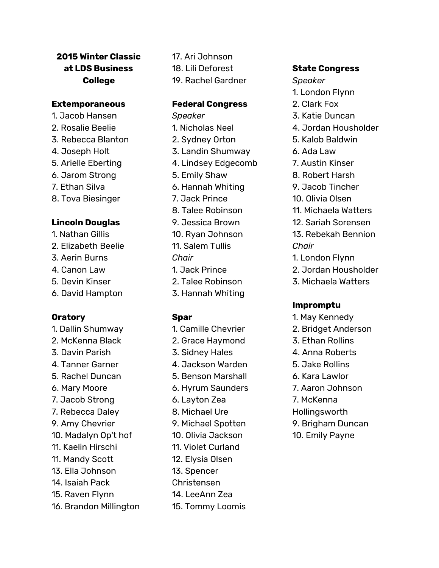# **2015 Winter Classic at LDS Business College**

#### **Extemporaneous**

- 1. Jacob Hansen
- 2. Rosalie Beelie
- 3. Rebecca Blanton
- 4. Joseph Holt
- 5. Arielle Eberting
- 6. Jarom Strong
- 7. Ethan Silva
- 8. Tova Biesinger

# **Lincoln Douglas**

- 1. Nathan Gillis
- 2. Elizabeth Beelie
- 3. Aerin Burns
- 4. Canon Law
- 5. Devin Kinser
- 6. David Hampton

# **Oratory**

1. Dallin Shumway 2. McKenna Black 3. Davin Parish 4. Tanner Garner 5. Rachel Duncan 6. Mary Moore 7. Jacob Strong 7. Rebecca Daley 9. Amy Chevrier 10. Madalyn Op't hof 11. Kaelin Hirschi 11. Mandy Scott 13. Ella Johnson 14. Isaiah Pack 15. Raven Flynn 16. Brandon Millington

17. Ari Johnson 18. Lili Deforest 19. Rachel Gardner

#### **Federal Congress**

*Speaker* 1. Nicholas Neel 2. Sydney Orton 3. Landin Shumway 4. Lindsey Edgecomb 5. Emily Shaw 6. Hannah Whiting 7. Jack Prince 8. Talee Robinson 9. Jessica Brown 10. Ryan Johnson 11. Salem Tullis *Chair* 1. Jack Prince 2. Talee Robinson 3. Hannah Whiting

### **Spar**

1. Camille Chevrier 2. Grace Haymond 3. Sidney Hales 4. Jackson Warden 5. Benson Marshall 6. Hyrum Saunders 6. Layton Zea 8. Michael Ure 9. Michael Spotten 10. Olivia Jackson 11. Violet Curland 12. Elysia Olsen 13. Spencer Christensen 14. LeeAnn Zea 15. Tommy Loomis

# **State Congress**

- *Speaker*
- 1. London Flynn
- 2. Clark Fox
- 3. Katie Duncan
- 4. Jordan Housholder
- 5. Kalob Baldwin
- 6. Ada Law
- 7. Austin Kinser
- 8. Robert Harsh
- 9. Jacob Tincher
- 10. Olivia Olsen
- 11. Michaela Watters
- 12. Sariah Sorensen
- 13. Rebekah Bennion *Chair*
- 1. London Flynn
- 2. Jordan Housholder
- 3. Michaela Watters

# **Impromptu**

- 1. May Kennedy
- 2. Bridget Anderson
- 3. Ethan Rollins
- 4. Anna Roberts
- 5. Jake Rollins
- 6. Kara Lawlor
- 7. Aaron Johnson
- 7. McKenna
- Hollingsworth
- 9. Brigham Duncan
- 10. Emily Payne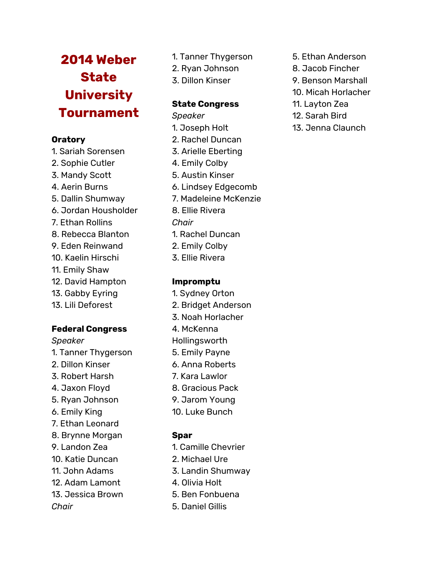# **2014 Weber State University Tournament**

# **Oratory**

- 1. Sariah Sorensen 2. Sophie Cutler
- 3. Mandy Scott
- 4. Aerin Burns
- 5. Dallin Shumway
- 6. Jordan Housholder
- 7. Ethan Rollins
- 8. Rebecca Blanton
- 9. Eden Reinwand
- 10. Kaelin Hirschi
- 11. Emily Shaw
- 12. David Hampton
- 13. Gabby Eyring
- 13. Lili Deforest

# **Federal Congress**

# *Speaker*

- 1. Tanner Thygerson
- 2. Dillon Kinser
- 3. Robert Harsh
- 4. Jaxon Floyd
- 5. Ryan Johnson
- 6. Emily King
- 7. Ethan Leonard
- 8. Brynne Morgan
- 9. Landon Zea
- 10. Katie Duncan
- 11. John Adams
- 12. Adam Lamont
- 13. Jessica Brown
- *Chair*
- 1. Tanner Thygerson
- 2. Ryan Johnson
- 3. Dillon Kinser

# **State Congress**

- *Speaker* 1. Joseph Holt
- 2. Rachel Duncan
- 3. Arielle Eberting
- 4. Emily Colby
- 5. Austin Kinser 6. Lindsey Edgecomb
- 7. Madeleine McKenzie
- 8. Ellie Rivera
- *Chair*
- 1. Rachel Duncan
- 2. Emily Colby
- 3. Ellie Rivera

# **Impromptu**

- 1. Sydney Orton 2. Bridget Anderson
- 3. Noah Horlacher
- 4. McKenna
- Hollingsworth
- 5. Emily Payne
- 6. Anna Roberts
- 7. Kara Lawlor
- 8. Gracious Pack
- 9. Jarom Young
- 10. Luke Bunch

- 1. Camille Chevrier
- 2. Michael Ure
- 3. Landin Shumway
- 4. Olivia Holt
- 5. Ben Fonbuena
- 5. Daniel Gillis
- 5. Ethan Anderson
- 8. Jacob Fincher
- 9. Benson Marshall
- 10. Micah Horlacher
- 11. Layton Zea
- 12. Sarah Bird
- 13. Jenna Claunch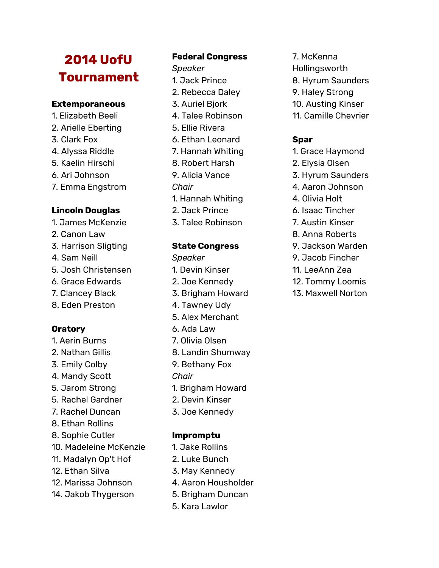# **2014 UofU Tournament**

#### **Extemporaneous**

- 1. Elizabeth Beeli
- 2. Arielle Eberting
- 3. Clark Fox
- 4. Alyssa Riddle
- 5. Kaelin Hirschi
- 6. Ari Johnson
- 7. Emma Engstrom

#### **Lincoln Douglas**

- 1. James McKenzie
- 2. Canon Law
- 3. Harrison Sligting
- 4. Sam Neill
- 5. Josh Christensen
- 6. Grace Edwards
- 7. Clancey Black
- 8. Eden Preston

# **Oratory**

- 1. Aerin Burns
- 2. Nathan Gillis
- 3. Emily Colby
- 4. Mandy Scott
- 5. Jarom Strong
- 5. Rachel Gardner
- 7. Rachel Duncan
- 8. Ethan Rollins
- 8. Sophie Cutler
- 10. Madeleine McKenzie
- 11. Madalyn Op't Hof
- 12. Ethan Silva
- 12. Marissa Johnson
- 14. Jakob Thygerson

# **Federal Congress**

*Speaker*

- 1. Jack Prince
- 2. Rebecca Daley
- 3. Auriel Bjork
- 4. Talee Robinson
- 5. Ellie Rivera
- 6. Ethan Leonard
- 7. Hannah Whiting
- 8. Robert Harsh
- 9. Alicia Vance
- *Chair*
- 1. Hannah Whiting
- 2. Jack Prince
- 3. Talee Robinson

### **State Congress**

- *Speaker* 1. Devin Kinser 2. Joe Kennedy 3. Brigham Howard 4. Tawney Udy 5. Alex Merchant 6. Ada Law
- 7. Olivia Olsen
- 8. Landin Shumway
- 9. Bethany Fox
- *Chair*
- 1. Brigham Howard
- 2. Devin Kinser
- 3. Joe Kennedy

### **Impromptu**

- 1. Jake Rollins
- 2. Luke Bunch
- 3. May Kennedy
- 4. Aaron Housholder
- 5. Brigham Duncan
- 5. Kara Lawlor
- 7. McKenna Hollingsworth
- 8. Hyrum Saunders
- 9. Haley Strong
- 10. Austing Kinser
- 11. Camille Chevrier

- 1. Grace Haymond
- 2. Elysia Olsen
- 3. Hyrum Saunders
- 4. Aaron Johnson
- 4. Olivia Holt
- 6. Isaac Tincher
- 7. Austin Kinser
- 8. Anna Roberts
- 9. Jackson Warden
- 9. Jacob Fincher
- 11. LeeAnn Zea
- 12. Tommy Loomis
- 13. Maxwell Norton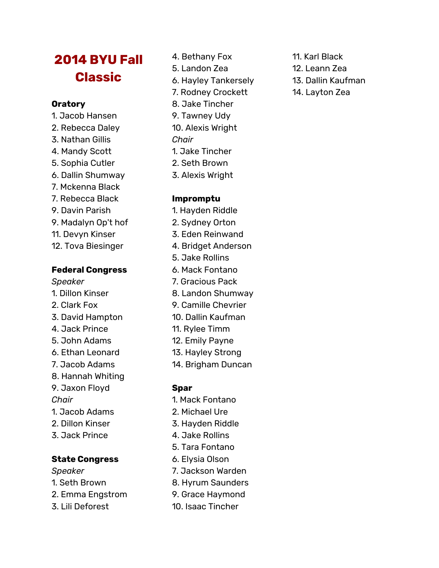# **2014 BYU Fall Classic**

#### **Oratory**

- 1. Jacob Hansen
- 2. Rebecca Daley
- 3. Nathan Gillis
- 4. Mandy Scott
- 5. Sophia Cutler
- 6. Dallin Shumway
- 7. Mckenna Black
- 7. Rebecca Black
- 9. Davin Parish
- 9. Madalyn Op't hof
- 11. Devyn Kinser
- 12. Tova Biesinger

#### **Federal Congress**

- *Speaker*
- 1. Dillon Kinser
- 2. Clark Fox
- 3. David Hampton
- 4. Jack Prince
- 5. John Adams
- 6. Ethan Leonard
- 7. Jacob Adams
- 8. Hannah Whiting
- 9. Jaxon Floyd
- *Chair*
- 1. Jacob Adams
- 2. Dillon Kinser
- 3. Jack Prince

### **State Congress**

- *Speaker*
- 1. Seth Brown
- 2. Emma Engstrom
- 3. Lili Deforest
- 4. Bethany Fox
- 5. Landon Zea
- 6. Hayley Tankersely
- 7. Rodney Crockett
- 8. Jake Tincher
- 9. Tawney Udy
- 10. Alexis Wright
- *Chair*
- 1. Jake Tincher
- 2. Seth Brown
- 3. Alexis Wright

### **Impromptu**

- 1. Hayden Riddle
- 2. Sydney Orton
- 3. Eden Reinwand
- 4. Bridget Anderson
- 5. Jake Rollins
- 6. Mack Fontano
- 7. Gracious Pack
- 8. Landon Shumway
- 9. Camille Chevrier
- 10. Dallin Kaufman
- 11. Rylee Timm
- 12. Emily Payne
- 13. Hayley Strong
- 14. Brigham Duncan

- 1. Mack Fontano
- 2. Michael Ure
- 3. Hayden Riddle
- 4. Jake Rollins
- 5. Tara Fontano
- 6. Elysia Olson
- 7. Jackson Warden
- 8. Hyrum Saunders
- 9. Grace Haymond
- 10. Isaac Tincher
- 11. Karl Black
- 12. Leann Zea
- 13. Dallin Kaufman
- 14. Layton Zea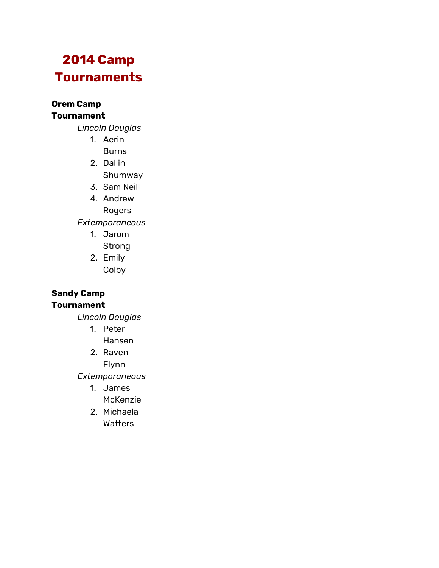# **2014 Camp Tournaments**

**Orem Camp Tournament**

*Lincoln Douglas*

- 1. Aerin
	- **Burns**
- 2. Dallin Shumway
- 3. Sam Neill
- 4. Andrew

Rogers

*Extemporaneous*

- 1. Jarom Strong
- 2. Emily
	- Colby

#### **Sandy Camp Tournament**

*Lincoln Douglas*

- 1. Peter
	- Hansen

2. Raven Flynn

*Extemporaneous*

- 1. James
	- McKenzie
- 2. Michaela Watters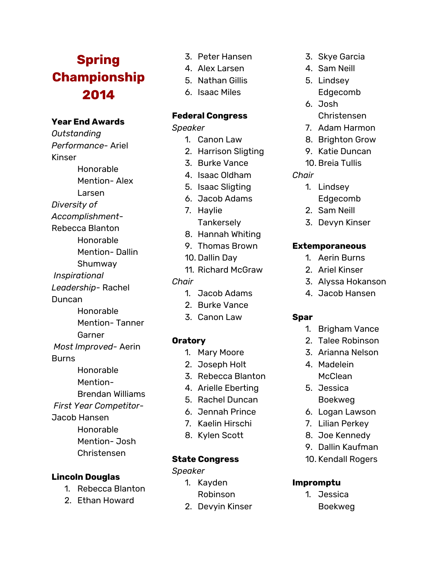# **Spring Championship 2014**

# **Year End Awards**

*Outstanding Performance-* Ariel Kinser Honorable Mention- Alex Larsen *Diversity of Accomplishment-*Rebecca Blanton Honorable Mention- Dallin Shumway *Inspirational Leadership-* Rachel **Duncan** Honorable Mention- Tanner Garner *Most Improved-* Aerin Burns Honorable Mention-Brendan Williams *First Year Competitor-*Jacob Hansen Honorable Mention- Josh Christensen

### **Lincoln Douglas**

- 1. Rebecca Blanton
- 2. Ethan Howard
- 3. Peter Hansen
- 4. Alex Larsen
- 5. Nathan Gillis
- 6. Isaac Miles

### **Federal Congress**

*Speaker*

- 1. Canon Law
- 2. Harrison Sligting
- 3. Burke Vance
- 4. Isaac Oldham
- 5. Isaac Sligting
- 6. Jacob Adams
- 7. Haylie
	- **Tankersely**
- 8. Hannah Whiting
- 9. Thomas Brown
- 10. Dallin Day
- 11. Richard McGraw

#### *Chair*

- 1. Jacob Adams
- 2. Burke Vance
- 3. Canon Law

### **Oratory**

- 1. Mary Moore
- 2. Joseph Holt
- 3. Rebecca Blanton
- 4. Arielle Eberting
- 5. Rachel Duncan
- 6. Jennah Prince
- 7. Kaelin Hirschi
- 8. Kylen Scott

#### **State Congress**

*Speaker*

- 1. Kayden Robinson
- 2. Devyin Kinser
- 3. Skye Garcia
- 4. Sam Neill
- 5. Lindsey
- Edgecomb 6. Josh
	- Christensen
- 7. Adam Harmon
- 8. Brighton Grow
- 9. Katie Duncan
- 10. Breia Tullis

#### *Chair*

- 1. Lindsey Edgecomb
- 2. Sam Neill
- 3. Devyn Kinser

#### **Extemporaneous**

- 1. Aerin Burns
- 2. Ariel Kinser
- 3. Alyssa Hokanson
- 4. Jacob Hansen

#### **Spar**

- 1. Brigham Vance
- 2. Talee Robinson
- 3. Arianna Nelson
- 4. Madelein **McClean**
- 5. Jessica Boekweg
- 6. Logan Lawson
- 7. Lilian Perkey
- 8. Joe Kennedy
- 9. Dallin Kaufman
- 10. Kendall Rogers

#### **Impromptu**

1. Jessica Boekweg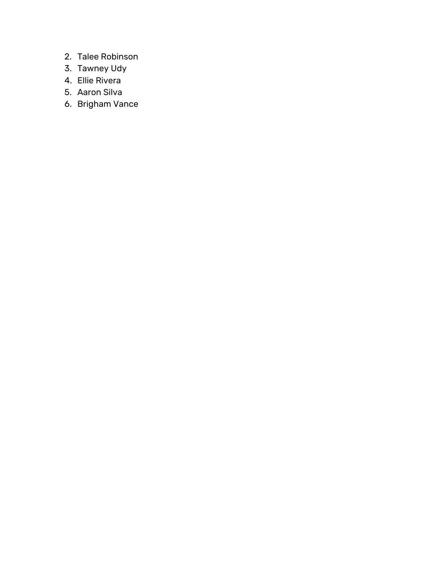- 2. Talee Robinson
- 3. Tawney Udy
- 4. Ellie Rivera
- 5. Aaron Silva
- 6. Brigham Vance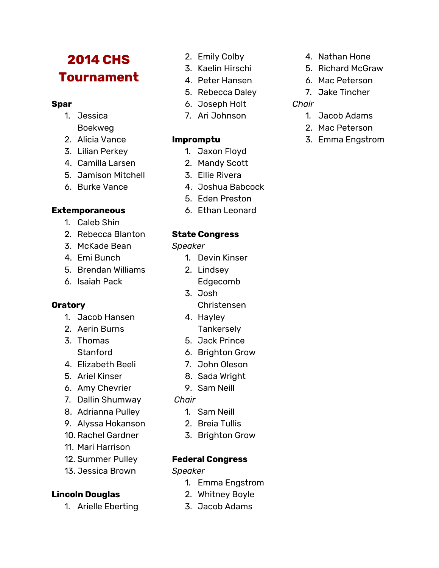# **2014 CHS Tournament**

### **Spar**

- 1. Jessica Boekweg
- 2. Alicia Vance
- 3. Lilian Perkey
- 4. Camilla Larsen
- 5. Jamison Mitchell
- 6. Burke Vance

# **Extemporaneous**

- 1. Caleb Shin
- 2. Rebecca Blanton
- 3. McKade Bean
- 4. Emi Bunch
- 5. Brendan Williams
- 6. Isaiah Pack

# **Oratory**

- 1. Jacob Hansen
- 2. Aerin Burns
- 3. Thomas Stanford
- 4. Elizabeth Beeli
- 5. Ariel Kinser
- 6. Amy Chevrier
- 7. Dallin Shumway
- 8. Adrianna Pulley
- 9. Alyssa Hokanson
- 10. Rachel Gardner
- 11. Mari Harrison
- 12. Summer Pulley
- 13. Jessica Brown

# **Lincoln Douglas**

1. Arielle Eberting

- 2. Emily Colby
- 3. Kaelin Hirschi
- 4. Peter Hansen
- 5. Rebecca Daley
- 6. Joseph Holt
- 7. Ari Johnson

# **Impromptu**

- 1. Jaxon Floyd 2. Mandy Scott
- 3. Ellie Rivera
- 4. Joshua Babcock
- 5. Eden Preston
- 6. Ethan Leonard

# **State Congress**

*Speaker*

- 1. Devin Kinser
- 2. Lindsey
	- Edgecomb
- 3. Josh
- Christensen
- 4. Hayley
	- **Tankerselv**
- 5. Jack Prince 6. Brighton Grow
- 7. John Oleson
- 8. Sada Wright
- 9. Sam Neill
- 
- *Chair*
	- 1. Sam Neill
	- 2. Breia Tullis
	- 3. Brighton Grow

# **Federal Congress**

*Speaker*

- 1. Emma Engstrom
- 2. Whitney Boyle
- 3. Jacob Adams
- 4. Nathan Hone
- 5. Richard McGraw
- 6. Mac Peterson
- 7. Jake Tincher

# *Chair*

- 1. Jacob Adams
- 2. Mac Peterson
- 3. Emma Engstrom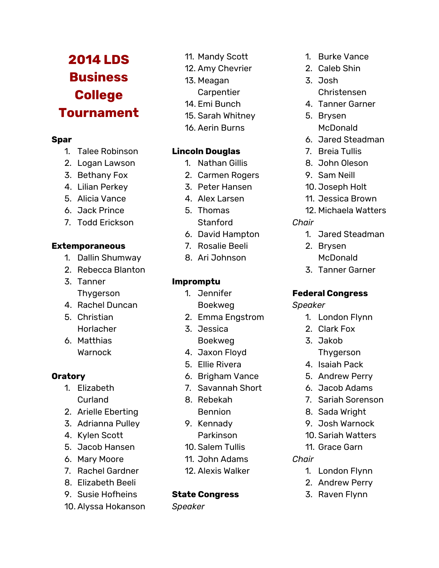# **2014 LDS Business College Tournament**

#### **Spar**

- 1. Talee Robinson
- 2. Logan Lawson
- 3. Bethany Fox
- 4. Lilian Perkey
- 5. Alicia Vance
- 6. Jack Prince
- 7. Todd Erickson

### **Extemporaneous**

- 1. Dallin Shumway
- 2. Rebecca Blanton
- 3. Tanner Thygerson
- 4. Rachel Duncan
- 5. Christian Horlacher
- 6. Matthias Warnock

# **Oratory**

- 1. Elizabeth Curland
- 2. Arielle Eberting
- 3. Adrianna Pulley
- 4. Kylen Scott
- 5. Jacob Hansen
- 6. Mary Moore
- 7. Rachel Gardner
- 8. Elizabeth Beeli
- 9. Susie Hofheins
- 10. Alyssa Hokanson
- 11. Mandy Scott
- 12. Amy Chevrier
- 13. Meagan
	- **Carpentier**
- 14. Emi Bunch
- 15. Sarah Whitney
- 16. Aerin Burns

# **Lincoln Douglas**

- 1. Nathan Gillis
- 2. Carmen Rogers
- 3. Peter Hansen
- 4. Alex Larsen
- 5. Thomas Stanford
- 6. David Hampton
- 7. Rosalie Beeli
- 8. Ari Johnson

# **Impromptu**

- 1. Jennifer Boekweg
- 2. Emma Engstrom
- 3. Jessica Boekweg
- 4. Jaxon Floyd
- 5. Ellie Rivera
- 6. Brigham Vance
- 7. Savannah Short
- 8. Rebekah Bennion
- 9. Kennady
	- Parkinson
- 10. Salem Tullis
- 11. John Adams
- 12. Alexis Walker

# **State Congress**

*Speaker*

- 1. Burke Vance
- 2. Caleb Shin
- 3. Josh
	- Christensen
- 4. Tanner Garner
- 5. Brysen **McDonald**
- 6. Jared Steadman
- 7. Breia Tullis
- 8. John Oleson
- 9. Sam Neill
- 10. Joseph Holt
- 11. Jessica Brown
- 12. Michaela Watters
- *Chair*
	- 1. Jared Steadman
	- 2. Brysen
	- McDonald
	- 3. Tanner Garner

# **Federal Congress**

*Speaker*

- 1. London Flynn
- 2. Clark Fox
- 3. Jakob
- Thygerson
- 4. Isaiah Pack
- 5. Andrew Perry
- 6. Jacob Adams
- 7. Sariah Sorenson
- 8. Sada Wright
- 9. Josh Warnock
- 10. Sariah Watters
- 11. Grace Garn
- *Chair*
	- 1. London Flynn
	- 2. Andrew Perry
	- 3. Raven Flynn